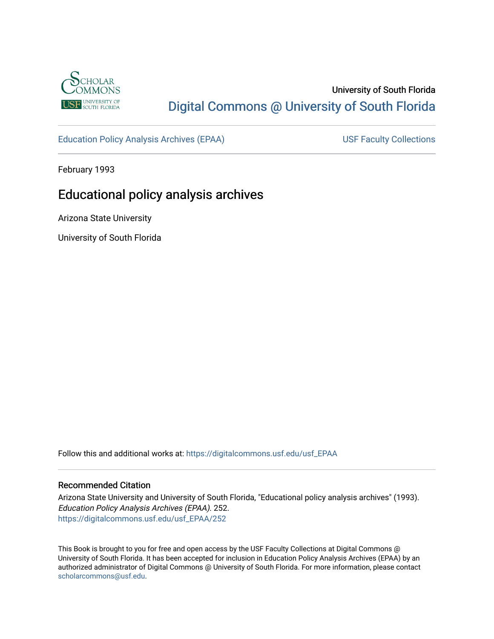

# University of South Florida [Digital Commons @ University of South Florida](https://digitalcommons.usf.edu/)

[Education Policy Analysis Archives \(EPAA\)](https://digitalcommons.usf.edu/usf_EPAA) USF Faculty Collections

February 1993

# Educational policy analysis archives

Arizona State University

University of South Florida

Follow this and additional works at: [https://digitalcommons.usf.edu/usf\\_EPAA](https://digitalcommons.usf.edu/usf_EPAA?utm_source=digitalcommons.usf.edu%2Fusf_EPAA%2F252&utm_medium=PDF&utm_campaign=PDFCoverPages)

### Recommended Citation

Arizona State University and University of South Florida, "Educational policy analysis archives" (1993). Education Policy Analysis Archives (EPAA). 252. [https://digitalcommons.usf.edu/usf\\_EPAA/252](https://digitalcommons.usf.edu/usf_EPAA/252?utm_source=digitalcommons.usf.edu%2Fusf_EPAA%2F252&utm_medium=PDF&utm_campaign=PDFCoverPages)

This Book is brought to you for free and open access by the USF Faculty Collections at Digital Commons @ University of South Florida. It has been accepted for inclusion in Education Policy Analysis Archives (EPAA) by an authorized administrator of Digital Commons @ University of South Florida. For more information, please contact [scholarcommons@usf.edu.](mailto:scholarcommons@usf.edu)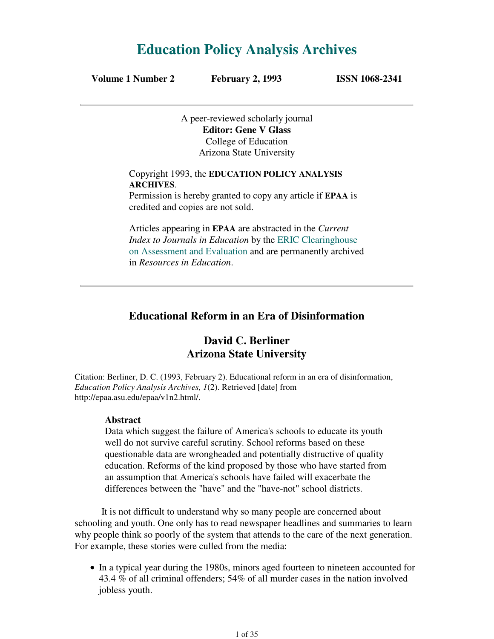# **Education Policy Analysis Archives**

**Volume 1 Number 2 February 2, 1993 ISSN 1068-2341**

A peer-reviewed scholarly journal **Editor: Gene V Glass** College of Education Arizona State University

Copyright 1993, the **EDUCATION POLICY ANALYSIS ARCHIVES**.

Permission is hereby granted to copy any article if **EPAA** is credited and copies are not sold.

Articles appearing in **EPAA** are abstracted in the *Current Index to Journals in Education* by the ERIC Clearinghouse on Assessment and Evaluation and are permanently archived in *Resources in Education*.

# **Educational Reform in an Era of Disinformation**

# **David C. Berliner Arizona State University**

Citation: Berliner, D. C. (1993, February 2). Educational reform in an era of disinformation, *Education Policy Analysis Archives, 1*(2). Retrieved [date] from http://epaa.asu.edu/epaa/v1n2.html/.

### **Abstract**

Data which suggest the failure of America's schools to educate its youth well do not survive careful scrutiny. School reforms based on these questionable data are wrongheaded and potentially distructive of quality education. Reforms of the kind proposed by those who have started from an assumption that America's schools have failed will exacerbate the differences between the "have" and the "have-not" school districts.

 It is not difficult to understand why so many people are concerned about schooling and youth. One only has to read newspaper headlines and summaries to learn why people think so poorly of the system that attends to the care of the next generation. For example, these stories were culled from the media:

• In a typical year during the 1980s, minors aged fourteen to nineteen accounted for 43.4 % of all criminal offenders; 54% of all murder cases in the nation involved jobless youth.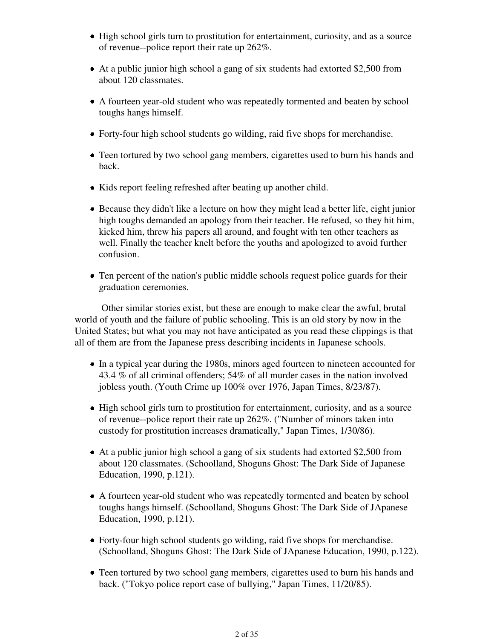- High school girls turn to prostitution for entertainment, curiosity, and as a source of revenue--police report their rate up 262%.
- At a public junior high school a gang of six students had extorted \$2,500 from about 120 classmates.
- A fourteen year-old student who was repeatedly tormented and beaten by school toughs hangs himself.
- Forty-four high school students go wilding, raid five shops for merchandise.
- Teen tortured by two school gang members, cigarettes used to burn his hands and back.
- Kids report feeling refreshed after beating up another child.
- Because they didn't like a lecture on how they might lead a better life, eight junior high toughs demanded an apology from their teacher. He refused, so they hit him, kicked him, threw his papers all around, and fought with ten other teachers as well. Finally the teacher knelt before the youths and apologized to avoid further confusion.
- Ten percent of the nation's public middle schools request police guards for their graduation ceremonies.

 Other similar stories exist, but these are enough to make clear the awful, brutal world of youth and the failure of public schooling. This is an old story by now in the United States; but what you may not have anticipated as you read these clippings is that all of them are from the Japanese press describing incidents in Japanese schools.

- In a typical year during the 1980s, minors aged fourteen to nineteen accounted for 43.4 % of all criminal offenders; 54% of all murder cases in the nation involved jobless youth. (Youth Crime up 100% over 1976, Japan Times, 8/23/87).
- High school girls turn to prostitution for entertainment, curiosity, and as a source of revenue--police report their rate up 262%. ("Number of minors taken into custody for prostitution increases dramatically," Japan Times, 1/30/86).
- At a public junior high school a gang of six students had extorted \$2,500 from about 120 classmates. (Schoolland, Shoguns Ghost: The Dark Side of Japanese Education, 1990, p.121).
- A fourteen year-old student who was repeatedly tormented and beaten by school toughs hangs himself. (Schoolland, Shoguns Ghost: The Dark Side of JApanese Education, 1990, p.121).
- Forty-four high school students go wilding, raid five shops for merchandise. (Schoolland, Shoguns Ghost: The Dark Side of JApanese Education, 1990, p.122).
- Teen tortured by two school gang members, cigarettes used to burn his hands and back. ("Tokyo police report case of bullying," Japan Times, 11/20/85).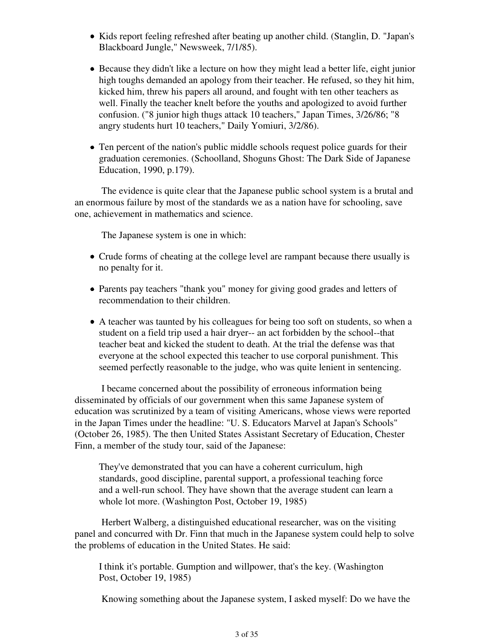- Kids report feeling refreshed after beating up another child. (Stanglin, D. "Japan's Blackboard Jungle," Newsweek, 7/1/85).
- Because they didn't like a lecture on how they might lead a better life, eight junior high toughs demanded an apology from their teacher. He refused, so they hit him, kicked him, threw his papers all around, and fought with ten other teachers as well. Finally the teacher knelt before the youths and apologized to avoid further confusion. ("8 junior high thugs attack 10 teachers," Japan Times, 3/26/86; "8 angry students hurt 10 teachers," Daily Yomiuri, 3/2/86).
- Ten percent of the nation's public middle schools request police guards for their graduation ceremonies. (Schoolland, Shoguns Ghost: The Dark Side of Japanese Education, 1990, p.179).

 The evidence is quite clear that the Japanese public school system is a brutal and an enormous failure by most of the standards we as a nation have for schooling, save one, achievement in mathematics and science.

The Japanese system is one in which:

- Crude forms of cheating at the college level are rampant because there usually is no penalty for it.
- Parents pay teachers "thank you" money for giving good grades and letters of recommendation to their children.
- A teacher was taunted by his colleagues for being too soft on students, so when a student on a field trip used a hair dryer-- an act forbidden by the school--that teacher beat and kicked the student to death. At the trial the defense was that everyone at the school expected this teacher to use corporal punishment. This seemed perfectly reasonable to the judge, who was quite lenient in sentencing.

 I became concerned about the possibility of erroneous information being disseminated by officials of our government when this same Japanese system of education was scrutinized by a team of visiting Americans, whose views were reported in the Japan Times under the headline: "U. S. Educators Marvel at Japan's Schools" (October 26, 1985). The then United States Assistant Secretary of Education, Chester Finn, a member of the study tour, said of the Japanese:

They've demonstrated that you can have a coherent curriculum, high standards, good discipline, parental support, a professional teaching force and a well-run school. They have shown that the average student can learn a whole lot more. (Washington Post, October 19, 1985)

 Herbert Walberg, a distinguished educational researcher, was on the visiting panel and concurred with Dr. Finn that much in the Japanese system could help to solve the problems of education in the United States. He said:

I think it's portable. Gumption and willpower, that's the key. (Washington Post, October 19, 1985)

Knowing something about the Japanese system, I asked myself: Do we have the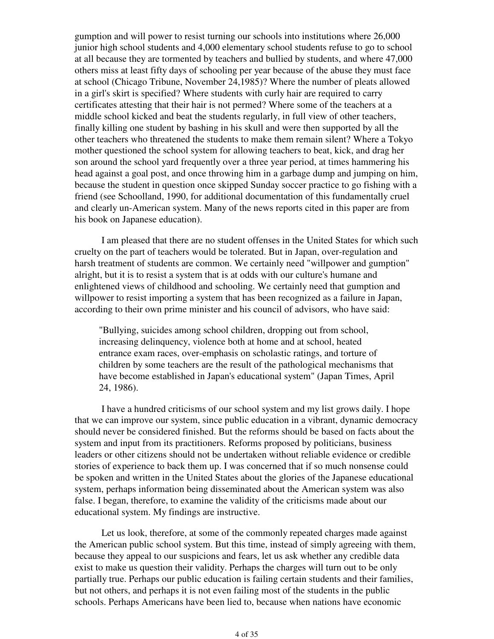gumption and will power to resist turning our schools into institutions where 26,000 junior high school students and 4,000 elementary school students refuse to go to school at all because they are tormented by teachers and bullied by students, and where 47,000 others miss at least fifty days of schooling per year because of the abuse they must face at school (Chicago Tribune, November 24,1985)? Where the number of pleats allowed in a girl's skirt is specified? Where students with curly hair are required to carry certificates attesting that their hair is not permed? Where some of the teachers at a middle school kicked and beat the students regularly, in full view of other teachers, finally killing one student by bashing in his skull and were then supported by all the other teachers who threatened the students to make them remain silent? Where a Tokyo mother questioned the school system for allowing teachers to beat, kick, and drag her son around the school yard frequently over a three year period, at times hammering his head against a goal post, and once throwing him in a garbage dump and jumping on him, because the student in question once skipped Sunday soccer practice to go fishing with a friend (see Schoolland, 1990, for additional documentation of this fundamentally cruel and clearly un-American system. Many of the news reports cited in this paper are from his book on Japanese education).

 I am pleased that there are no student offenses in the United States for which such cruelty on the part of teachers would be tolerated. But in Japan, over-regulation and harsh treatment of students are common. We certainly need "willpower and gumption" alright, but it is to resist a system that is at odds with our culture's humane and enlightened views of childhood and schooling. We certainly need that gumption and willpower to resist importing a system that has been recognized as a failure in Japan, according to their own prime minister and his council of advisors, who have said:

"Bullying, suicides among school children, dropping out from school, increasing delinquency, violence both at home and at school, heated entrance exam races, over-emphasis on scholastic ratings, and torture of children by some teachers are the result of the pathological mechanisms that have become established in Japan's educational system" (Japan Times, April 24, 1986).

 I have a hundred criticisms of our school system and my list grows daily. I hope that we can improve our system, since public education in a vibrant, dynamic democracy should never be considered finished. But the reforms should be based on facts about the system and input from its practitioners. Reforms proposed by politicians, business leaders or other citizens should not be undertaken without reliable evidence or credible stories of experience to back them up. I was concerned that if so much nonsense could be spoken and written in the United States about the glories of the Japanese educational system, perhaps information being disseminated about the American system was also false. I began, therefore, to examine the validity of the criticisms made about our educational system. My findings are instructive.

 Let us look, therefore, at some of the commonly repeated charges made against the American public school system. But this time, instead of simply agreeing with them, because they appeal to our suspicions and fears, let us ask whether any credible data exist to make us question their validity. Perhaps the charges will turn out to be only partially true. Perhaps our public education is failing certain students and their families, but not others, and perhaps it is not even failing most of the students in the public schools. Perhaps Americans have been lied to, because when nations have economic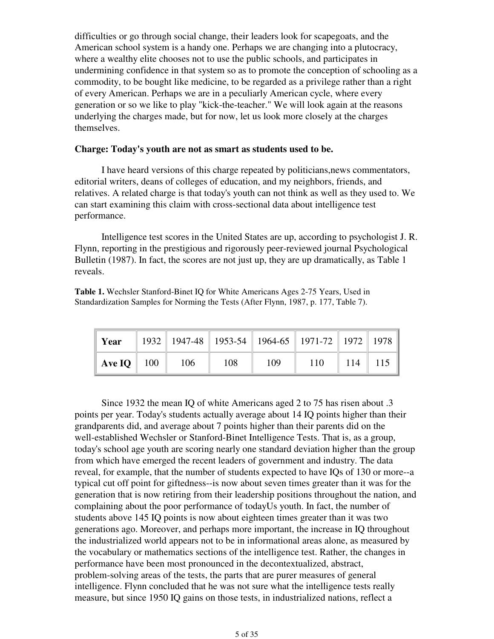difficulties or go through social change, their leaders look for scapegoats, and the American school system is a handy one. Perhaps we are changing into a plutocracy, where a wealthy elite chooses not to use the public schools, and participates in undermining confidence in that system so as to promote the conception of schooling as a commodity, to be bought like medicine, to be regarded as a privilege rather than a right of every American. Perhaps we are in a peculiarly American cycle, where every generation or so we like to play "kick-the-teacher." We will look again at the reasons underlying the charges made, but for now, let us look more closely at the charges themselves.

### **Charge: Today's youth are not as smart as students used to be.**

 I have heard versions of this charge repeated by politicians,news commentators, editorial writers, deans of colleges of education, and my neighbors, friends, and relatives. A related charge is that today's youth can not think as well as they used to. We can start examining this claim with cross-sectional data about intelligence test performance.

 Intelligence test scores in the United States are up, according to psychologist J. R. Flynn, reporting in the prestigious and rigorously peer-reviewed journal Psychological Bulletin (1987). In fact, the scores are not just up, they are up dramatically, as Table 1 reveals.

**Table 1.** Wechsler Stanford-Binet IQ for White Americans Ages 2-75 Years, Used in Standardization Samples for Norming the Tests (After Flynn, 1987, p. 177, Table 7).

| Year                       | 1932    1947-48    1953-54    1964-65    1971-72    1972    1978 |     |     |     |           |  |
|----------------------------|------------------------------------------------------------------|-----|-----|-----|-----------|--|
| $\vert$ Ave IQ $\vert$ 100 | 106                                                              | 108 | 109 | 110 | 114   115 |  |

 Since 1932 the mean IQ of white Americans aged 2 to 75 has risen about .3 points per year. Today's students actually average about 14 IQ points higher than their grandparents did, and average about 7 points higher than their parents did on the well-established Wechsler or Stanford-Binet Intelligence Tests. That is, as a group, today's school age youth are scoring nearly one standard deviation higher than the group from which have emerged the recent leaders of government and industry. The data reveal, for example, that the number of students expected to have IQs of 130 or more--a typical cut off point for giftedness--is now about seven times greater than it was for the generation that is now retiring from their leadership positions throughout the nation, and complaining about the poor performance of todayUs youth. In fact, the number of students above 145 IQ points is now about eighteen times greater than it was two generations ago. Moreover, and perhaps more important, the increase in IQ throughout the industrialized world appears not to be in informational areas alone, as measured by the vocabulary or mathematics sections of the intelligence test. Rather, the changes in performance have been most pronounced in the decontextualized, abstract, problem-solving areas of the tests, the parts that are purer measures of general intelligence. Flynn concluded that he was not sure what the intelligence tests really measure, but since 1950 IQ gains on those tests, in industrialized nations, reflect a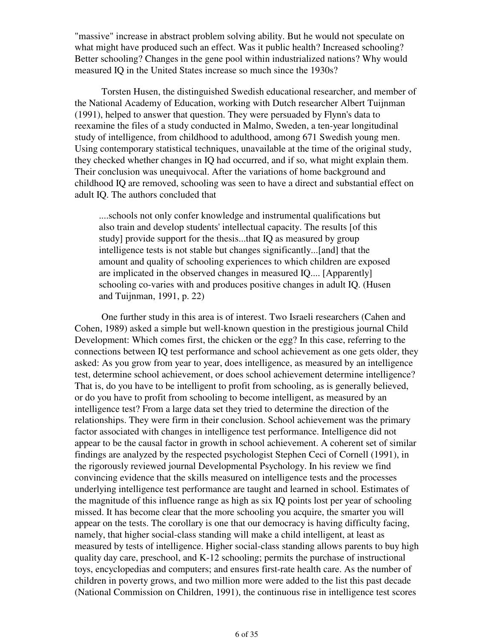"massive" increase in abstract problem solving ability. But he would not speculate on what might have produced such an effect. Was it public health? Increased schooling? Better schooling? Changes in the gene pool within industrialized nations? Why would measured IQ in the United States increase so much since the 1930s?

 Torsten Husen, the distinguished Swedish educational researcher, and member of the National Academy of Education, working with Dutch researcher Albert Tuijnman (1991), helped to answer that question. They were persuaded by Flynn's data to reexamine the files of a study conducted in Malmo, Sweden, a ten-year longitudinal study of intelligence, from childhood to adulthood, among 671 Swedish young men. Using contemporary statistical techniques, unavailable at the time of the original study, they checked whether changes in IQ had occurred, and if so, what might explain them. Their conclusion was unequivocal. After the variations of home background and childhood IQ are removed, schooling was seen to have a direct and substantial effect on adult IQ. The authors concluded that

....schools not only confer knowledge and instrumental qualifications but also train and develop students' intellectual capacity. The results [of this study] provide support for the thesis...that IQ as measured by group intelligence tests is not stable but changes significantly...[and] that the amount and quality of schooling experiences to which children are exposed are implicated in the observed changes in measured IQ.... [Apparently] schooling co-varies with and produces positive changes in adult IQ. (Husen and Tuijnman, 1991, p. 22)

 One further study in this area is of interest. Two Israeli researchers (Cahen and Cohen, 1989) asked a simple but well-known question in the prestigious journal Child Development: Which comes first, the chicken or the egg? In this case, referring to the connections between IQ test performance and school achievement as one gets older, they asked: As you grow from year to year, does intelligence, as measured by an intelligence test, determine school achievement, or does school achievement determine intelligence? That is, do you have to be intelligent to profit from schooling, as is generally believed, or do you have to profit from schooling to become intelligent, as measured by an intelligence test? From a large data set they tried to determine the direction of the relationships. They were firm in their conclusion. School achievement was the primary factor associated with changes in intelligence test performance. Intelligence did not appear to be the causal factor in growth in school achievement. A coherent set of similar findings are analyzed by the respected psychologist Stephen Ceci of Cornell (1991), in the rigorously reviewed journal Developmental Psychology. In his review we find convincing evidence that the skills measured on intelligence tests and the processes underlying intelligence test performance are taught and learned in school. Estimates of the magnitude of this influence range as high as six IQ points lost per year of schooling missed. It has become clear that the more schooling you acquire, the smarter you will appear on the tests. The corollary is one that our democracy is having difficulty facing, namely, that higher social-class standing will make a child intelligent, at least as measured by tests of intelligence. Higher social-class standing allows parents to buy high quality day care, preschool, and K-12 schooling; permits the purchase of instructional toys, encyclopedias and computers; and ensures first-rate health care. As the number of children in poverty grows, and two million more were added to the list this past decade (National Commission on Children, 1991), the continuous rise in intelligence test scores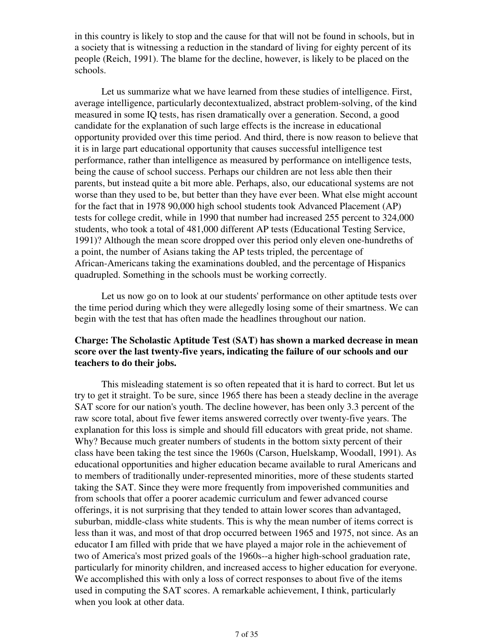in this country is likely to stop and the cause for that will not be found in schools, but in a society that is witnessing a reduction in the standard of living for eighty percent of its people (Reich, 1991). The blame for the decline, however, is likely to be placed on the schools.

 Let us summarize what we have learned from these studies of intelligence. First, average intelligence, particularly decontextualized, abstract problem-solving, of the kind measured in some IQ tests, has risen dramatically over a generation. Second, a good candidate for the explanation of such large effects is the increase in educational opportunity provided over this time period. And third, there is now reason to believe that it is in large part educational opportunity that causes successful intelligence test performance, rather than intelligence as measured by performance on intelligence tests, being the cause of school success. Perhaps our children are not less able then their parents, but instead quite a bit more able. Perhaps, also, our educational systems are not worse than they used to be, but better than they have ever been. What else might account for the fact that in 1978 90,000 high school students took Advanced Placement (AP) tests for college credit, while in 1990 that number had increased 255 percent to 324,000 students, who took a total of 481,000 different AP tests (Educational Testing Service, 1991)? Although the mean score dropped over this period only eleven one-hundreths of a point, the number of Asians taking the AP tests tripled, the percentage of African-Americans taking the examinations doubled, and the percentage of Hispanics quadrupled. Something in the schools must be working correctly.

 Let us now go on to look at our students' performance on other aptitude tests over the time period during which they were allegedly losing some of their smartness. We can begin with the test that has often made the headlines throughout our nation.

### **Charge: The Scholastic Aptitude Test (SAT) has shown a marked decrease in mean score over the last twenty-five years, indicating the failure of our schools and our teachers to do their jobs.**

 This misleading statement is so often repeated that it is hard to correct. But let us try to get it straight. To be sure, since 1965 there has been a steady decline in the average SAT score for our nation's youth. The decline however, has been only 3.3 percent of the raw score total, about five fewer items answered correctly over twenty-five years. The explanation for this loss is simple and should fill educators with great pride, not shame. Why? Because much greater numbers of students in the bottom sixty percent of their class have been taking the test since the 1960s (Carson, Huelskamp, Woodall, 1991). As educational opportunities and higher education became available to rural Americans and to members of traditionally under-represented minorities, more of these students started taking the SAT. Since they were more frequently from impoverished communities and from schools that offer a poorer academic curriculum and fewer advanced course offerings, it is not surprising that they tended to attain lower scores than advantaged, suburban, middle-class white students. This is why the mean number of items correct is less than it was, and most of that drop occurred between 1965 and 1975, not since. As an educator I am filled with pride that we have played a major role in the achievement of two of America's most prized goals of the 1960s--a higher high-school graduation rate, particularly for minority children, and increased access to higher education for everyone. We accomplished this with only a loss of correct responses to about five of the items used in computing the SAT scores. A remarkable achievement, I think, particularly when you look at other data.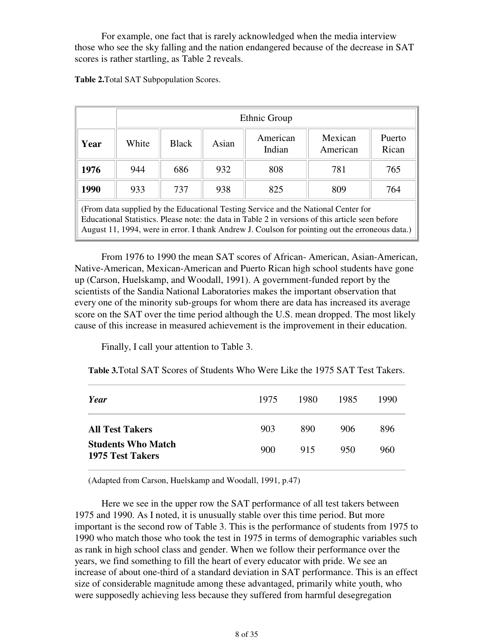For example, one fact that is rarely acknowledged when the media interview those who see the sky falling and the nation endangered because of the decrease in SAT scores is rather startling, as Table 2 reveals.

**Table 2.**Total SAT Subpopulation Scores.

|      |       | Ethnic Group |       |                                                                                                                                                                                                                                                                                           |                     |                 |  |  |  |  |  |
|------|-------|--------------|-------|-------------------------------------------------------------------------------------------------------------------------------------------------------------------------------------------------------------------------------------------------------------------------------------------|---------------------|-----------------|--|--|--|--|--|
| Year | White | <b>Black</b> | Asian | American<br>Indian                                                                                                                                                                                                                                                                        | Mexican<br>American | Puerto<br>Rican |  |  |  |  |  |
| 1976 | 944   | 686          | 932   | 808                                                                                                                                                                                                                                                                                       | 781                 | 765             |  |  |  |  |  |
| 1990 | 933   | 737          | 938   | 825                                                                                                                                                                                                                                                                                       | 809                 | 764             |  |  |  |  |  |
|      |       |              |       | (From data supplied by the Educational Testing Service and the National Center for<br>Educational Statistics. Please note: the data in Table 2 in versions of this article seen before<br>August 11, 1994, were in error. I thank Andrew J. Coulson for pointing out the erroneous data.) |                     |                 |  |  |  |  |  |

 From 1976 to 1990 the mean SAT scores of African- American, Asian-American, Native-American, Mexican-American and Puerto Rican high school students have gone up (Carson, Huelskamp, and Woodall, 1991). A government-funded report by the scientists of the Sandia National Laboratories makes the important observation that every one of the minority sub-groups for whom there are data has increased its average score on the SAT over the time period although the U.S. mean dropped. The most likely cause of this increase in measured achievement is the improvement in their education.

Finally, I call your attention to Table 3.

**Table 3.**Total SAT Scores of Students Who Were Like the 1975 SAT Test Takers.

| Year                                                                    | 1975       | 1980       | 1985       | 1990       |
|-------------------------------------------------------------------------|------------|------------|------------|------------|
| <b>All Test Takers</b><br><b>Students Who Match</b><br>1975 Test Takers | 903<br>900 | 890<br>915 | 906<br>950 | 896<br>960 |

(Adapted from Carson, Huelskamp and Woodall, 1991, p.47)

 Here we see in the upper row the SAT performance of all test takers between 1975 and 1990. As I noted, it is unusually stable over this time period. But more important is the second row of Table 3. This is the performance of students from 1975 to 1990 who match those who took the test in 1975 in terms of demographic variables such as rank in high school class and gender. When we follow their performance over the years, we find something to fill the heart of every educator with pride. We see an increase of about one-third of a standard deviation in SAT performance. This is an effect size of considerable magnitude among these advantaged, primarily white youth, who were supposedly achieving less because they suffered from harmful desegregation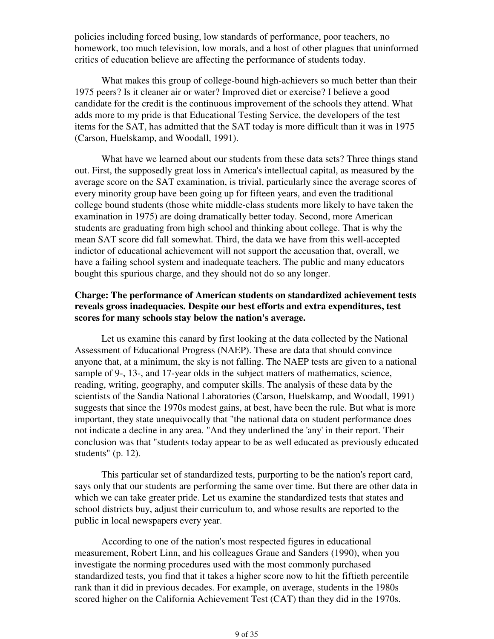policies including forced busing, low standards of performance, poor teachers, no homework, too much television, low morals, and a host of other plagues that uninformed critics of education believe are affecting the performance of students today.

 What makes this group of college-bound high-achievers so much better than their 1975 peers? Is it cleaner air or water? Improved diet or exercise? I believe a good candidate for the credit is the continuous improvement of the schools they attend. What adds more to my pride is that Educational Testing Service, the developers of the test items for the SAT, has admitted that the SAT today is more difficult than it was in 1975 (Carson, Huelskamp, and Woodall, 1991).

 What have we learned about our students from these data sets? Three things stand out. First, the supposedly great loss in America's intellectual capital, as measured by the average score on the SAT examination, is trivial, particularly since the average scores of every minority group have been going up for fifteen years, and even the traditional college bound students (those white middle-class students more likely to have taken the examination in 1975) are doing dramatically better today. Second, more American students are graduating from high school and thinking about college. That is why the mean SAT score did fall somewhat. Third, the data we have from this well-accepted indictor of educational achievement will not support the accusation that, overall, we have a failing school system and inadequate teachers. The public and many educators bought this spurious charge, and they should not do so any longer.

### **Charge: The performance of American students on standardized achievement tests reveals gross inadequacies. Despite our best efforts and extra expenditures, test scores for many schools stay below the nation's average.**

 Let us examine this canard by first looking at the data collected by the National Assessment of Educational Progress (NAEP). These are data that should convince anyone that, at a minimum, the sky is not falling. The NAEP tests are given to a national sample of 9-, 13-, and 17-year olds in the subject matters of mathematics, science, reading, writing, geography, and computer skills. The analysis of these data by the scientists of the Sandia National Laboratories (Carson, Huelskamp, and Woodall, 1991) suggests that since the 1970s modest gains, at best, have been the rule. But what is more important, they state unequivocally that "the national data on student performance does not indicate a decline in any area. "And they underlined the 'any' in their report. Their conclusion was that "students today appear to be as well educated as previously educated students" (p. 12).

 This particular set of standardized tests, purporting to be the nation's report card, says only that our students are performing the same over time. But there are other data in which we can take greater pride. Let us examine the standardized tests that states and school districts buy, adjust their curriculum to, and whose results are reported to the public in local newspapers every year.

 According to one of the nation's most respected figures in educational measurement, Robert Linn, and his colleagues Graue and Sanders (1990), when you investigate the norming procedures used with the most commonly purchased standardized tests, you find that it takes a higher score now to hit the fiftieth percentile rank than it did in previous decades. For example, on average, students in the 1980s scored higher on the California Achievement Test (CAT) than they did in the 1970s.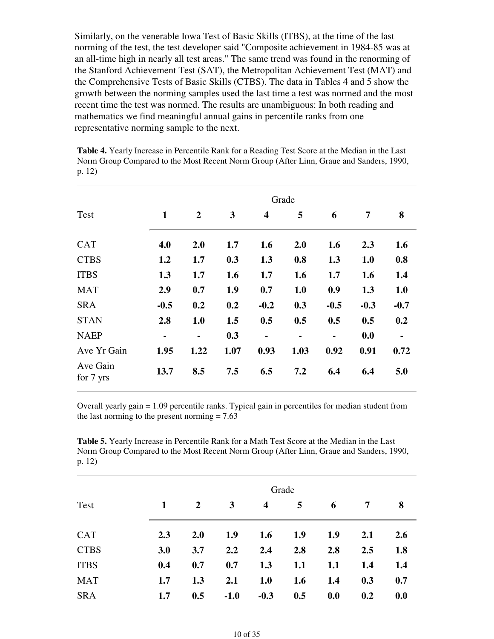Similarly, on the venerable Iowa Test of Basic Skills (ITBS), at the time of the last norming of the test, the test developer said "Composite achievement in 1984-85 was at an all-time high in nearly all test areas." The same trend was found in the renorming of the Stanford Achievement Test (SAT), the Metropolitan Achievement Test (MAT) and the Comprehensive Tests of Basic Skills (CTBS). The data in Tables 4 and 5 show the growth between the norming samples used the last time a test was normed and the most recent time the test was normed. The results are unambiguous: In both reading and mathematics we find meaningful annual gains in percentile ranks from one representative norming sample to the next.

| Table 4. Yearly Increase in Percentile Rank for a Reading Test Score at the Median in the Last |  |
|------------------------------------------------------------------------------------------------|--|
| Norm Group Compared to the Most Recent Norm Group (After Linn, Graue and Sanders, 1990,        |  |
| p. $12)$                                                                                       |  |

|                       |                |                |      |                | Grade          |                |        |                |
|-----------------------|----------------|----------------|------|----------------|----------------|----------------|--------|----------------|
| Test                  | $\mathbf{1}$   | $\overline{2}$ | 3    | 4              | 5              | 6              | 7      | 8              |
| <b>CAT</b>            | 4.0            | 2.0            | 1.7  | 1.6            | 2.0            | 1.6            | 2.3    | 1.6            |
| <b>CTBS</b>           | 1.2            | 1.7            | 0.3  | 1.3            | 0.8            | 1.3            | 1.0    | 0.8            |
| <b>ITBS</b>           | 1.3            | 1.7            | 1.6  | 1.7            | 1.6            | 1.7            | 1.6    | 1.4            |
| <b>MAT</b>            | 2.9            | 0.7            | 1.9  | 0.7            | 1.0            | 0.9            | 1.3    | 1.0            |
| <b>SRA</b>            | $-0.5$         | 0.2            | 0.2  | $-0.2$         | 0.3            | $-0.5$         | $-0.3$ | $-0.7$         |
| <b>STAN</b>           | 2.8            | 1.0            | 1.5  | 0.5            | 0.5            | 0.5            | 0.5    | 0.2            |
| <b>NAEP</b>           | $\blacksquare$ | $\blacksquare$ | 0.3  | $\blacksquare$ | $\blacksquare$ | $\blacksquare$ | 0.0    | $\blacksquare$ |
| Ave Yr Gain           | 1.95           | 1.22           | 1.07 | 0.93           | 1.03           | 0.92           | 0.91   | 0.72           |
| Ave Gain<br>for 7 yrs | 13.7           | 8.5            | 7.5  | 6.5            | 7.2            | 6.4            | 6.4    | 5.0            |

Overall yearly gain = 1.09 percentile ranks. Typical gain in percentiles for median student from the last norming to the present norming  $= 7.63$ 

**Table 5.** Yearly Increase in Percentile Rank for a Math Test Score at the Median in the Last Norm Group Compared to the Most Recent Norm Group (After Linn, Graue and Sanders, 1990, p. 12)

|             |     |                |        |            | Grade |     |     |            |
|-------------|-----|----------------|--------|------------|-------|-----|-----|------------|
| Test        | 1   | $\overline{2}$ | 3      | 4          | 5     | 6   | 7   | 8          |
| <b>CAT</b>  | 2.3 | 2.0            | 1.9    | 1.6        | 1.9   | 1.9 | 2.1 | <b>2.6</b> |
| <b>CTBS</b> | 3.0 | 3.7            | 2.2    | 2.4        | 2.8   | 2.8 | 2.5 | 1.8        |
| <b>ITBS</b> | 0.4 | 0.7            | 0.7    | 1.3        | 1.1   | 1.1 | 1.4 | 1.4        |
| <b>MAT</b>  | 1.7 | 1.3            | 2.1    | <b>1.0</b> | 1.6   | 1.4 | 0.3 | 0.7        |
| <b>SRA</b>  | 1.7 | 0.5            | $-1.0$ | $-0.3$     | 0.5   | 0.0 | 0.2 | 0.0        |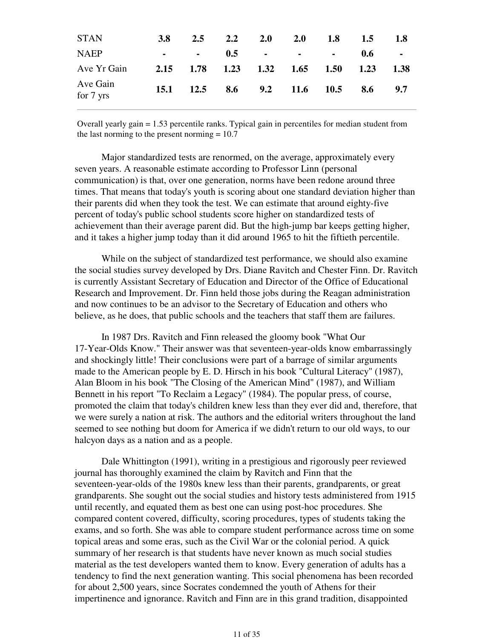| <b>STAN</b>           | 3.8 |  | 2.5 2.2 2.0 2.0 1.8                 | 1.5 | <b>1.8</b> |
|-----------------------|-----|--|-------------------------------------|-----|------------|
| <b>NAEP</b>           |     |  | $ -$ 0.5 $  -$ 0.6 $-$              |     |            |
| Ave Yr Gain           |     |  | 2.15 1.78 1.23 1.32 1.65 1.50 1.23  |     | 1.38       |
| Ave Gain<br>for 7 yrs |     |  | 15.1 12.5 8.6 9.2 11.6 10.5 8.6 9.7 |     |            |

Overall yearly gain = 1.53 percentile ranks. Typical gain in percentiles for median student from the last norming to the present norming  $= 10.7$ 

 Major standardized tests are renormed, on the average, approximately every seven years. A reasonable estimate according to Professor Linn (personal communication) is that, over one generation, norms have been redone around three times. That means that today's youth is scoring about one standard deviation higher than their parents did when they took the test. We can estimate that around eighty-five percent of today's public school students score higher on standardized tests of achievement than their average parent did. But the high-jump bar keeps getting higher, and it takes a higher jump today than it did around 1965 to hit the fiftieth percentile.

 While on the subject of standardized test performance, we should also examine the social studies survey developed by Drs. Diane Ravitch and Chester Finn. Dr. Ravitch is currently Assistant Secretary of Education and Director of the Office of Educational Research and Improvement. Dr. Finn held those jobs during the Reagan administration and now continues to be an advisor to the Secretary of Education and others who believe, as he does, that public schools and the teachers that staff them are failures.

 In 1987 Drs. Ravitch and Finn released the gloomy book "What Our 17-Year-Olds Know." Their answer was that seventeen-year-olds know embarrassingly and shockingly little! Their conclusions were part of a barrage of similar arguments made to the American people by E. D. Hirsch in his book "Cultural Literacy" (1987), Alan Bloom in his book "The Closing of the American Mind" (1987), and William Bennett in his report "To Reclaim a Legacy" (1984). The popular press, of course, promoted the claim that today's children knew less than they ever did and, therefore, that we were surely a nation at risk. The authors and the editorial writers throughout the land seemed to see nothing but doom for America if we didn't return to our old ways, to our halcyon days as a nation and as a people.

 Dale Whittington (1991), writing in a prestigious and rigorously peer reviewed journal has thoroughly examined the claim by Ravitch and Finn that the seventeen-year-olds of the 1980s knew less than their parents, grandparents, or great grandparents. She sought out the social studies and history tests administered from 1915 until recently, and equated them as best one can using post-hoc procedures. She compared content covered, difficulty, scoring procedures, types of students taking the exams, and so forth. She was able to compare student performance across time on some topical areas and some eras, such as the Civil War or the colonial period. A quick summary of her research is that students have never known as much social studies material as the test developers wanted them to know. Every generation of adults has a tendency to find the next generation wanting. This social phenomena has been recorded for about 2,500 years, since Socrates condemned the youth of Athens for their impertinence and ignorance. Ravitch and Finn are in this grand tradition, disappointed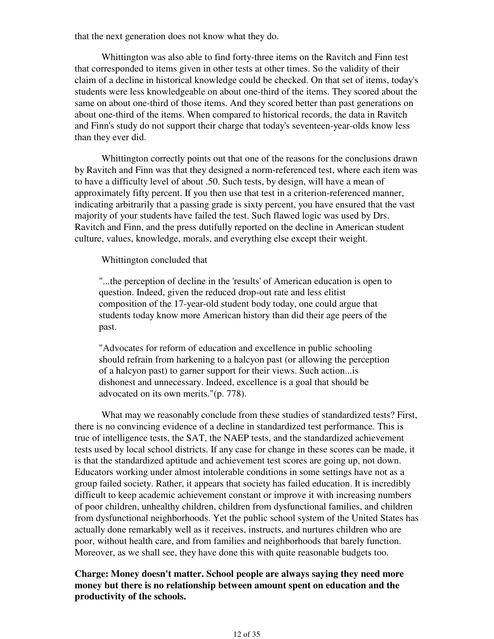that the next generation does not know what they do.

 Whittington was also able to find forty-three items on the Ravitch and Finn test that corresponded to items given in other tests at other times. So the validity of their claim of a decline in historical knowledge could be checked. On that set of items, today's students were less knowledgeable on about one-third of the items. They scored about the same on about one-third of those items. And they scored better than past generations on about one-third of the items. When compared to historical records, the data in Ravitch and Finn's study do not support their charge that today's seventeen-year-olds know less than they ever did.

 Whittington correctly points out that one of the reasons for the conclusions drawn by Ravitch and Finn was that they designed a norm-referenced test, where each item was to have a difficulty level of about .50. Such tests, by design, will have a mean of approximately fifty percent. If you then use that test in a criterion-referenced manner, indicating arbitrarily that a passing grade is sixty percent, you have ensured that the vast majority of your students have failed the test. Such flawed logic was used by Drs. Ravitch and Finn, and the press dutifully reported on the decline in American student culture, values, knowledge, morals, and everything else except their weight.

Whittington concluded that

"...the perception of decline in the 'results' of American education is open to question. Indeed, given the reduced drop-out rate and less elitist composition of the 17-year-old student body today, one could argue that students today know more American history than did their age peers of the past.

"Advocates for reform of education and excellence in public schooling should refrain from harkening to a halcyon past (or allowing the perception of a halcyon past) to garner support for their views. Such action...is dishonest and unnecessary. Indeed, excellence is a goal that should be advocated on its own merits."(p. 778).

 What may we reasonably conclude from these studies of standardized tests? First, there is no convincing evidence of a decline in standardized test performance. This is true of intelligence tests, the SAT, the NAEP tests, and the standardized achievement tests used by local school districts. If any case for change in these scores can be made, it is that the standardized aptitude and achievement test scores are going up, not down. Educators working under almost intolerable conditions in some settings have not as a group failed society. Rather, it appears that society has failed education. It is incredibly difficult to keep academic achievement constant or improve it with increasing numbers of poor children, unhealthy children, children from dysfunctional families, and children from dysfunctional neighborhoods. Yet the public school system of the United States has actually done remarkably well as it receives, instructs, and nurtures children who are poor, without health care, and from families and neighborhoods that barely function. Moreover, as we shall see, they have done this with quite reasonable budgets too.

**Charge: Money doesn't matter. School people are always saying they need more money but there is no relationship between amount spent on education and the productivity of the schools.**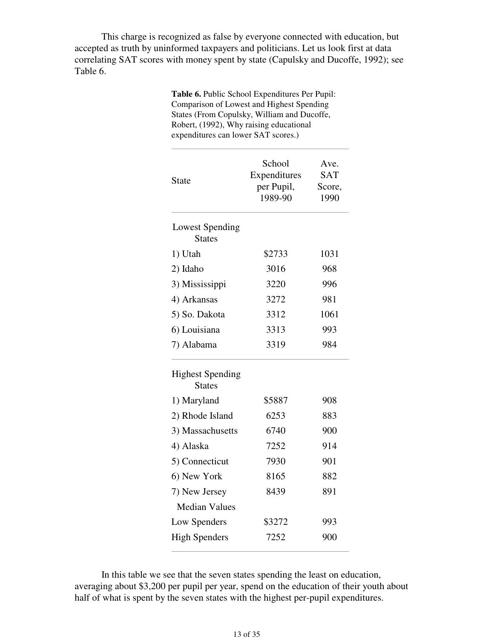This charge is recognized as false by everyone connected with education, but accepted as truth by uninformed taxpayers and politicians. Let us look first at data correlating SAT scores with money spent by state (Capulsky and Ducoffe, 1992); see Table 6.

> **Table 6.** Public School Expenditures Per Pupil: Comparison of Lowest and Highest Spending States (From Copulsky, William and Ducoffe, Robert, (1992), Why raising educational expenditures can lower SAT scores.)

| <b>State</b>                             | School<br>Expenditures<br>per Pupil,<br>1989-90 | Ave.<br><b>SAT</b><br>Score,<br>1990 |
|------------------------------------------|-------------------------------------------------|--------------------------------------|
| Lowest Spending<br><b>States</b>         |                                                 |                                      |
| 1) Utah                                  | \$2733                                          | 1031                                 |
| 2) Idaho                                 | 3016                                            | 968                                  |
| 3) Mississippi                           | 3220                                            | 996                                  |
| 4) Arkansas                              | 3272                                            | 981                                  |
| 5) So. Dakota                            | 3312                                            | 1061                                 |
| 6) Louisiana                             | 3313                                            | 993                                  |
| 7) Alabama                               | 3319                                            | 984                                  |
| <b>Highest Spending</b><br><b>States</b> |                                                 |                                      |
| 1) Maryland                              | \$5887                                          | 908                                  |
| 2) Rhode Island                          | 6253                                            | 883                                  |
| 3) Massachusetts                         | 6740                                            | 900                                  |
| 4) Alaska                                | 7252                                            | 914                                  |
| 5) Connecticut                           | 7930                                            | 901                                  |
| 6) New York                              | 8165                                            | 882                                  |
| 7) New Jersey                            | 8439                                            | 891                                  |
| <b>Median Values</b>                     |                                                 |                                      |
| Low Spenders                             | \$3272                                          | 993                                  |
| <b>High Spenders</b>                     | 7252                                            | 900                                  |

 In this table we see that the seven states spending the least on education, averaging about \$3,200 per pupil per year, spend on the education of their youth about half of what is spent by the seven states with the highest per-pupil expenditures.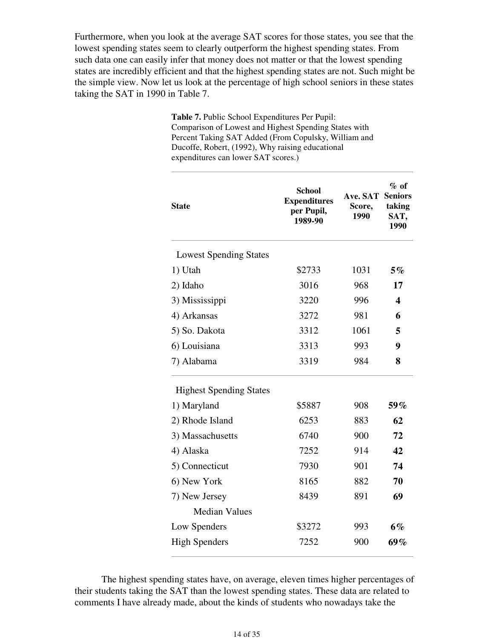Furthermore, when you look at the average SAT scores for those states, you see that the lowest spending states seem to clearly outperform the highest spending states. From such data one can easily infer that money does not matter or that the lowest spending states are incredibly efficient and that the highest spending states are not. Such might be the simple view. Now let us look at the percentage of high school seniors in these states taking the SAT in 1990 in Table 7.

> **Table 7.** Public School Expenditures Per Pupil: Comparison of Lowest and Highest Spending States with Percent Taking SAT Added (From Copulsky, William and Ducoffe, Robert, (1992), Why raising educational expenditures can lower SAT scores.)

| <b>State</b>                   | <b>School</b><br><b>Expenditures</b><br>per Pupil,<br>1989-90 | <b>Ave. SAT</b><br>Score,<br>1990 | $%$ of<br><b>Seniors</b><br>taking<br>SAT,<br>1990 |
|--------------------------------|---------------------------------------------------------------|-----------------------------------|----------------------------------------------------|
| <b>Lowest Spending States</b>  |                                                               |                                   |                                                    |
| 1) Utah                        | \$2733                                                        | 1031                              | $5\%$                                              |
| 2) Idaho                       | 3016                                                          | 968                               | 17                                                 |
| 3) Mississippi                 | 3220                                                          | 996                               | 4                                                  |
| 4) Arkansas                    | 3272                                                          | 981                               | 6                                                  |
| 5) So. Dakota                  | 3312                                                          | 1061                              | 5                                                  |
| 6) Louisiana                   | 3313                                                          | 993                               | 9                                                  |
| 7) Alabama                     | 3319                                                          | 984                               | 8                                                  |
| <b>Highest Spending States</b> |                                                               |                                   |                                                    |
| 1) Maryland                    | \$5887                                                        | 908                               | 59%                                                |
| 2) Rhode Island                | 6253                                                          | 883                               | 62                                                 |
| 3) Massachusetts               | 6740                                                          | 900                               | 72                                                 |
| 4) Alaska                      | 7252                                                          | 914                               | 42                                                 |
| 5) Connecticut                 | 7930                                                          | 901                               | 74                                                 |
| 6) New York                    | 8165                                                          | 882                               | 70                                                 |
| 7) New Jersey                  | 8439                                                          | 891                               | 69                                                 |
| <b>Median Values</b>           |                                                               |                                   |                                                    |
| Low Spenders                   | \$3272                                                        | 993                               | 6%                                                 |
| <b>High Spenders</b>           | 7252                                                          | 900                               | $69\%$                                             |
|                                |                                                               |                                   |                                                    |

 The highest spending states have, on average, eleven times higher percentages of their students taking the SAT than the lowest spending states. These data are related to comments I have already made, about the kinds of students who nowadays take the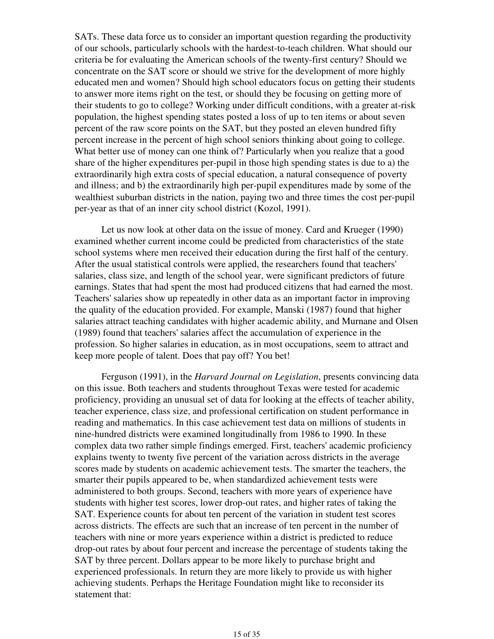SATs. These data force us to consider an important question regarding the productivity of our schools, particularly schools with the hardest-to-teach children. What should our criteria be for evaluating the American schools of the twenty-first century? Should we concentrate on the SAT score or should we strive for the development of more highly educated men and women? Should high school educators focus on getting their students to answer more items right on the test, or should they be focusing on getting more of their students to go to college? Working under difficult conditions, with a greater at-risk population, the highest spending states posted a loss of up to ten items or about seven percent of the raw score points on the SAT, but they posted an eleven hundred fifty percent increase in the percent of high school seniors thinking about going to college. What better use of money can one think of? Particularly when you realize that a good share of the higher expenditures per-pupil in those high spending states is due to a) the extraordinarily high extra costs of special education, a natural consequence of poverty and illness; and b) the extraordinarily high per-pupil expenditures made by some of the wealthiest suburban districts in the nation, paying two and three times the cost per-pupil per-year as that of an inner city school district (Kozol, 1991).

 Let us now look at other data on the issue of money. Card and Krueger (1990) examined whether current income could be predicted from characteristics of the state school systems where men received their education during the first half of the century. After the usual statistical controls were applied, the researchers found that teachers' salaries, class size, and length of the school year, were significant predictors of future earnings. States that had spent the most had produced citizens that had earned the most. Teachers' salaries show up repeatedly in other data as an important factor in improving the quality of the education provided. For example, Manski (1987) found that higher salaries attract teaching candidates with higher academic ability, and Murnane and Olsen (1989) found that teachers' salaries affect the accumulation of experience in the profession. So higher salaries in education, as in most occupations, seem to attract and keep more people of talent. Does that pay off? You bet!

 Ferguson (1991), in the *Harvard Journal on Legislation*, presents convincing data on this issue. Both teachers and students throughout Texas were tested for academic proficiency, providing an unusual set of data for looking at the effects of teacher ability, teacher experience, class size, and professional certification on student performance in reading and mathematics. In this case achievement test data on millions of students in nine-hundred districts were examined longitudinally from 1986 to 1990. In these complex data two rather simple findings emerged. First, teachers' academic proficiency explains twenty to twenty five percent of the variation across districts in the average scores made by students on academic achievement tests. The smarter the teachers, the smarter their pupils appeared to be, when standardized achievement tests were administered to both groups. Second, teachers with more years of experience have students with higher test scores, lower drop-out rates, and higher rates of taking the SAT. Experience counts for about ten percent of the variation in student test scores across districts. The effects are such that an increase of ten percent in the number of teachers with nine or more years experience within a district is predicted to reduce drop-out rates by about four percent and increase the percentage of students taking the SAT by three percent. Dollars appear to be more likely to purchase bright and experienced professionals. In return they are more likely to provide us with higher achieving students. Perhaps the Heritage Foundation might like to reconsider its statement that: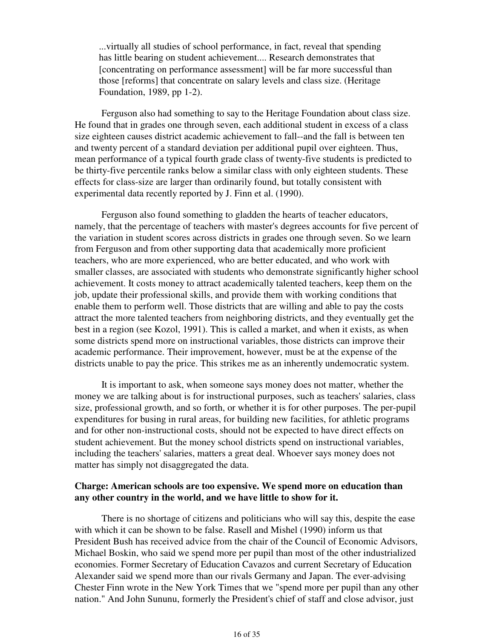...virtually all studies of school performance, in fact, reveal that spending has little bearing on student achievement.... Research demonstrates that [concentrating on performance assessment] will be far more successful than those [reforms] that concentrate on salary levels and class size. (Heritage Foundation, 1989, pp 1-2).

 Ferguson also had something to say to the Heritage Foundation about class size. He found that in grades one through seven, each additional student in excess of a class size eighteen causes district academic achievement to fall--and the fall is between ten and twenty percent of a standard deviation per additional pupil over eighteen. Thus, mean performance of a typical fourth grade class of twenty-five students is predicted to be thirty-five percentile ranks below a similar class with only eighteen students. These effects for class-size are larger than ordinarily found, but totally consistent with experimental data recently reported by J. Finn et al. (1990).

 Ferguson also found something to gladden the hearts of teacher educators, namely, that the percentage of teachers with master's degrees accounts for five percent of the variation in student scores across districts in grades one through seven. So we learn from Ferguson and from other supporting data that academically more proficient teachers, who are more experienced, who are better educated, and who work with smaller classes, are associated with students who demonstrate significantly higher school achievement. It costs money to attract academically talented teachers, keep them on the job, update their professional skills, and provide them with working conditions that enable them to perform well. Those districts that are willing and able to pay the costs attract the more talented teachers from neighboring districts, and they eventually get the best in a region (see Kozol, 1991). This is called a market, and when it exists, as when some districts spend more on instructional variables, those districts can improve their academic performance. Their improvement, however, must be at the expense of the districts unable to pay the price. This strikes me as an inherently undemocratic system.

 It is important to ask, when someone says money does not matter, whether the money we are talking about is for instructional purposes, such as teachers' salaries, class size, professional growth, and so forth, or whether it is for other purposes. The per-pupil expenditures for busing in rural areas, for building new facilities, for athletic programs and for other non-instructional costs, should not be expected to have direct effects on student achievement. But the money school districts spend on instructional variables, including the teachers' salaries, matters a great deal. Whoever says money does not matter has simply not disaggregated the data.

### **Charge: American schools are too expensive. We spend more on education than any other country in the world, and we have little to show for it.**

 There is no shortage of citizens and politicians who will say this, despite the ease with which it can be shown to be false. Rasell and Mishel (1990) inform us that President Bush has received advice from the chair of the Council of Economic Advisors, Michael Boskin, who said we spend more per pupil than most of the other industrialized economies. Former Secretary of Education Cavazos and current Secretary of Education Alexander said we spend more than our rivals Germany and Japan. The ever-advising Chester Finn wrote in the New York Times that we "spend more per pupil than any other nation." And John Sununu, formerly the President's chief of staff and close advisor, just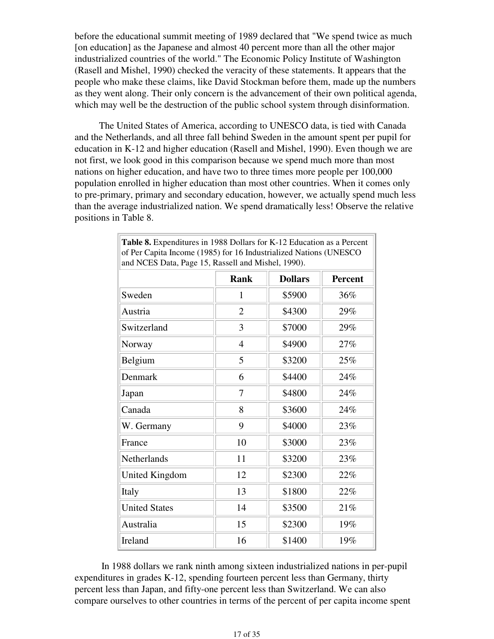before the educational summit meeting of 1989 declared that "We spend twice as much [on education] as the Japanese and almost 40 percent more than all the other major industrialized countries of the world." The Economic Policy Institute of Washington (Rasell and Mishel, 1990) checked the veracity of these statements. It appears that the people who make these claims, like David Stockman before them, made up the numbers as they went along. Their only concern is the advancement of their own political agenda, which may well be the destruction of the public school system through disinformation.

The United States of America, according to UNESCO data, is tied with Canada and the Netherlands, and all three fall behind Sweden in the amount spent per pupil for education in K-12 and higher education (Rasell and Mishel, 1990). Even though we are not first, we look good in this comparison because we spend much more than most nations on higher education, and have two to three times more people per 100,000 population enrolled in higher education than most other countries. When it comes only to pre-primary, primary and secondary education, however, we actually spend much less than the average industrialized nation. We spend dramatically less! Observe the relative positions in Table 8.

| of Fer Capita meonic (1703) for To measuranzed Fatholis (CF(ESCO)<br>and NCES Data, Page 15, Rassell and Mishel, 1990). |                |                |                |
|-------------------------------------------------------------------------------------------------------------------------|----------------|----------------|----------------|
|                                                                                                                         | <b>Rank</b>    | <b>Dollars</b> | <b>Percent</b> |
| Sweden                                                                                                                  | $\mathbf{1}$   | \$5900         | 36%            |
| Austria                                                                                                                 | $\overline{2}$ | \$4300         | 29%            |
| Switzerland                                                                                                             | 3              | \$7000         | 29%            |
| Norway                                                                                                                  | $\overline{4}$ | \$4900         | 27%            |
| Belgium                                                                                                                 | 5              | \$3200         | 25%            |
| Denmark                                                                                                                 | 6              | \$4400         | 24%            |
| Japan                                                                                                                   | 7              | \$4800         | 24%            |
| Canada                                                                                                                  | 8              | \$3600         | 24%            |
| W. Germany                                                                                                              | 9              | \$4000         | 23%            |
| France                                                                                                                  | 10             | \$3000         | 23%            |
| Netherlands                                                                                                             | 11             | \$3200         | 23%            |
| <b>United Kingdom</b>                                                                                                   | 12             | \$2300         | 22%            |
| Italy                                                                                                                   | 13             | \$1800         | 22%            |
| <b>United States</b>                                                                                                    | 14             | \$3500         | 21%            |
| Australia                                                                                                               | 15             | \$2300         | 19%            |
| Ireland                                                                                                                 | 16             | \$1400         | 19%            |

**Table 8.** Expenditures in 1988 Dollars for K-12 Education as a Percent of Per Capita Income (1985) for 16 Industrialized Nations (UNESCO

 In 1988 dollars we rank ninth among sixteen industrialized nations in per-pupil expenditures in grades K-12, spending fourteen percent less than Germany, thirty percent less than Japan, and fifty-one percent less than Switzerland. We can also compare ourselves to other countries in terms of the percent of per capita income spent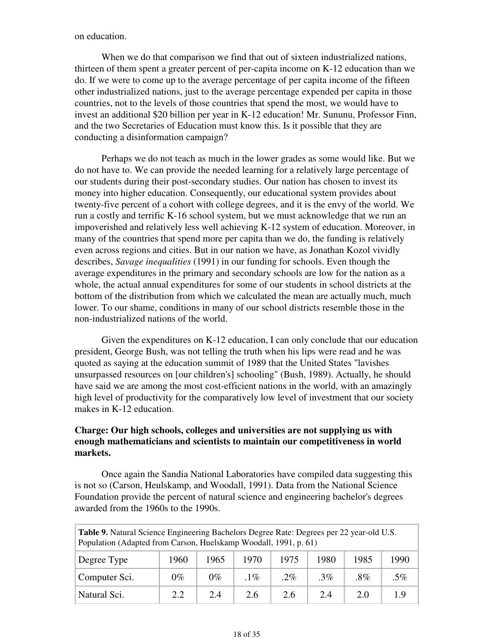on education.

 When we do that comparison we find that out of sixteen industrialized nations, thirteen of them spent a greater percent of per-capita income on K-12 education than we do. If we were to come up to the average percentage of per capita income of the fifteen other industrialized nations, just to the average percentage expended per capita in those countries, not to the levels of those countries that spend the most, we would have to invest an additional \$20 billion per year in K-12 education! Mr. Sununu, Professor Finn, and the two Secretaries of Education must know this. Is it possible that they are conducting a disinformation campaign?

 Perhaps we do not teach as much in the lower grades as some would like. But we do not have to. We can provide the needed learning for a relatively large percentage of our students during their post-secondary studies. Our nation has chosen to invest its money into higher education. Consequently, our educational system provides about twenty-five percent of a cohort with college degrees, and it is the envy of the world. We run a costly and terrific K-16 school system, but we must acknowledge that we run an impoverished and relatively less well achieving K-12 system of education. Moreover, in many of the countries that spend more per capita than we do, the funding is relatively even across regions and cities. But in our nation we have, as Jonathan Kozol vividly describes, *Savage inequalities* (1991) in our funding for schools. Even though the average expenditures in the primary and secondary schools are low for the nation as a whole, the actual annual expenditures for some of our students in school districts at the bottom of the distribution from which we calculated the mean are actually much, much lower. To our shame, conditions in many of our school districts resemble those in the non-industrialized nations of the world.

 Given the expenditures on K-12 education, I can only conclude that our education president, George Bush, was not telling the truth when his lips were read and he was quoted as saying at the education summit of 1989 that the United States "lavishes unsurpassed resources on [our children's] schooling" (Bush, 1989). Actually, he should have said we are among the most cost-efficient nations in the world, with an amazingly high level of productivity for the comparatively low level of investment that our society makes in K-12 education.

### **Charge: Our high schools, colleges and universities are not supplying us with enough mathematicians and scientists to maintain our competitiveness in world markets.**

 Once again the Sandia National Laboratories have compiled data suggesting this is not so (Carson, Heulskamp, and Woodall, 1991). Data from the National Science Foundation provide the percent of natural science and engineering bachelor's degrees awarded from the 1960s to the 1990s.

| Table 9. Natural Science Engineering Bachelors Degree Rate: Degrees per 22 year-old U.S.<br>Population (Adapted from Carson, Huelskamp Woodall, 1991, p. 61) |       |       |        |        |        |        |        |  |
|--------------------------------------------------------------------------------------------------------------------------------------------------------------|-------|-------|--------|--------|--------|--------|--------|--|
| Degree Type                                                                                                                                                  | 1960  | 1965  | 1970   | 1975   | 1980   | 1985   | 1990   |  |
| Computer Sci.                                                                                                                                                | $0\%$ | $0\%$ | $.1\%$ | $.2\%$ | $.3\%$ | $.8\%$ | $.5\%$ |  |
| Natural Sci.                                                                                                                                                 | 2.2   | 2.4   | 2.6    | 2.6    | 2.4    | 2.0    | 19     |  |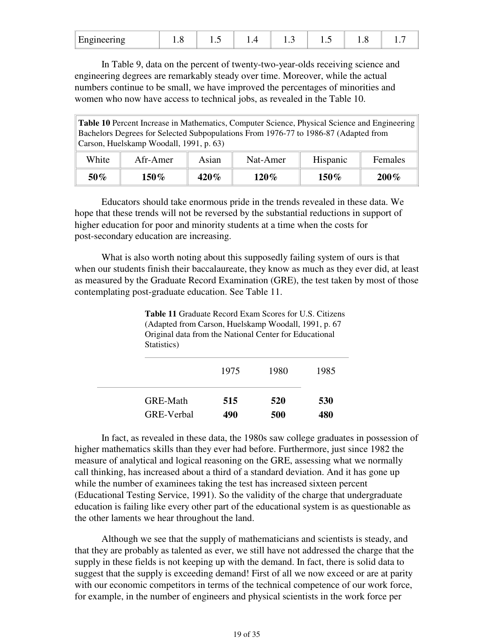| Engineering<br>. . J<br>1. . J<br>.<br>1.U |  |  |  |  |  |  |  |  |
|--------------------------------------------|--|--|--|--|--|--|--|--|
|--------------------------------------------|--|--|--|--|--|--|--|--|

 In Table 9, data on the percent of twenty-two-year-olds receiving science and engineering degrees are remarkably steady over time. Moreover, while the actual numbers continue to be small, we have improved the percentages of minorities and women who now have access to technical jobs, as revealed in the Table 10.

**Table 10** Percent Increase in Mathematics, Computer Science, Physical Science and Engineering Bachelors Degrees for Selected Subpopulations From 1976-77 to 1986-87 (Adapted from Carson, Huelskamp Woodall, 1991, p. 63)

| White | Afr-Amer | Asıan | Nat-Amer | Hispanic | Females |
|-------|----------|-------|----------|----------|---------|
| 50%   | 150%     | 420%  | $120\%$  | 150 %    | $200\%$ |

 Educators should take enormous pride in the trends revealed in these data. We hope that these trends will not be reversed by the substantial reductions in support of higher education for poor and minority students at a time when the costs for post-secondary education are increasing.

 What is also worth noting about this supposedly failing system of ours is that when our students finish their baccalaureate, they know as much as they ever did, at least as measured by the Graduate Record Examination (GRE), the test taken by most of those contemplating post-graduate education. See Table 11.

| Statistics)       | <b>Table 11 Graduate Record Exam Scores for U.S. Citizens</b><br>(Adapted from Carson, Huelskamp Woodall, 1991, p. 67)<br>Original data from the National Center for Educational |      |      |  |
|-------------------|----------------------------------------------------------------------------------------------------------------------------------------------------------------------------------|------|------|--|
|                   | 1975                                                                                                                                                                             | 1980 | 1985 |  |
| GRE-Math          | 515                                                                                                                                                                              | 520  | 530  |  |
| <b>GRE-Verbal</b> | 490                                                                                                                                                                              | 500  | 480  |  |

 In fact, as revealed in these data, the 1980s saw college graduates in possession of higher mathematics skills than they ever had before. Furthermore, just since 1982 the measure of analytical and logical reasoning on the GRE, assessing what we normally call thinking, has increased about a third of a standard deviation. And it has gone up while the number of examinees taking the test has increased sixteen percent (Educational Testing Service, 1991). So the validity of the charge that undergraduate education is failing like every other part of the educational system is as questionable as the other laments we hear throughout the land.

 Although we see that the supply of mathematicians and scientists is steady, and that they are probably as talented as ever, we still have not addressed the charge that the supply in these fields is not keeping up with the demand. In fact, there is solid data to suggest that the supply is exceeding demand! First of all we now exceed or are at parity with our economic competitors in terms of the technical competence of our work force, for example, in the number of engineers and physical scientists in the work force per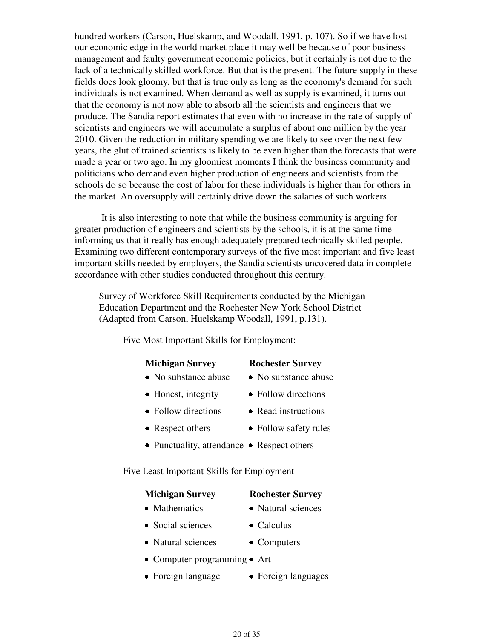20 of 35

hundred workers (Carson, Huelskamp, and Woodall, 1991, p. 107). So if we have lost our economic edge in the world market place it may well be because of poor business management and faulty government economic policies, but it certainly is not due to the lack of a technically skilled workforce. But that is the present. The future supply in these fields does look gloomy, but that is true only as long as the economy's demand for such individuals is not examined. When demand as well as supply is examined, it turns out that the economy is not now able to absorb all the scientists and engineers that we produce. The Sandia report estimates that even with no increase in the rate of supply of scientists and engineers we will accumulate a surplus of about one million by the year 2010. Given the reduction in military spending we are likely to see over the next few years, the glut of trained scientists is likely to be even higher than the forecasts that were made a year or two ago. In my gloomiest moments I think the business community and politicians who demand even higher production of engineers and scientists from the schools do so because the cost of labor for these individuals is higher than for others in the market. An oversupply will certainly drive down the salaries of such workers.

 It is also interesting to note that while the business community is arguing for greater production of engineers and scientists by the schools, it is at the same time informing us that it really has enough adequately prepared technically skilled people. Examining two different contemporary surveys of the five most important and five least important skills needed by employers, the Sandia scientists uncovered data in complete accordance with other studies conducted throughout this century.

Survey of Workforce Skill Requirements conducted by the Michigan Education Department and the Rochester New York School District (Adapted from Carson, Huelskamp Woodall, 1991, p.131).

Five Most Important Skills for Employment:

## **Michigan Survey Rochester Survey**

- No substance abuse No substance abuse
- 
- 
- 
- $\bullet$  Punctuality, attendance  $\bullet$  Respect others

Five Least Important Skills for Employment

### **Michigan Survey Rochester Survey**

- 
- Social sciences Calculus
- Natural sciences Computers
- $\bullet$  Computer programming  $\bullet$  Art
- Foreign language Foreign languages
- 
- Honest, integrity Follow directions
- Follow directions Read instructions
- Respect others Follow safety rules
	-

- Mathematics Natural sciences
	-
	-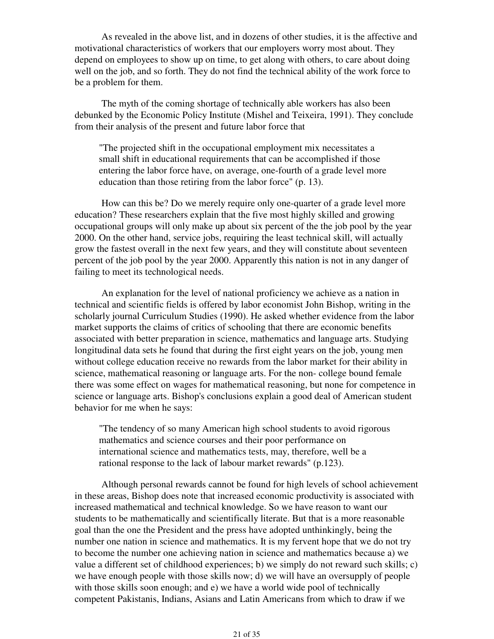As revealed in the above list, and in dozens of other studies, it is the affective and motivational characteristics of workers that our employers worry most about. They depend on employees to show up on time, to get along with others, to care about doing well on the job, and so forth. They do not find the technical ability of the work force to be a problem for them.

 The myth of the coming shortage of technically able workers has also been debunked by the Economic Policy Institute (Mishel and Teixeira, 1991). They conclude from their analysis of the present and future labor force that

"The projected shift in the occupational employment mix necessitates a small shift in educational requirements that can be accomplished if those entering the labor force have, on average, one-fourth of a grade level more education than those retiring from the labor force" (p. 13).

 How can this be? Do we merely require only one-quarter of a grade level more education? These researchers explain that the five most highly skilled and growing occupational groups will only make up about six percent of the the job pool by the year 2000. On the other hand, service jobs, requiring the least technical skill, will actually grow the fastest overall in the next few years, and they will constitute about seventeen percent of the job pool by the year 2000. Apparently this nation is not in any danger of failing to meet its technological needs.

 An explanation for the level of national proficiency we achieve as a nation in technical and scientific fields is offered by labor economist John Bishop, writing in the scholarly journal Curriculum Studies (1990). He asked whether evidence from the labor market supports the claims of critics of schooling that there are economic benefits associated with better preparation in science, mathematics and language arts. Studying longitudinal data sets he found that during the first eight years on the job, young men without college education receive no rewards from the labor market for their ability in science, mathematical reasoning or language arts. For the non- college bound female there was some effect on wages for mathematical reasoning, but none for competence in science or language arts. Bishop's conclusions explain a good deal of American student behavior for me when he says:

"The tendency of so many American high school students to avoid rigorous mathematics and science courses and their poor performance on international science and mathematics tests, may, therefore, well be a rational response to the lack of labour market rewards" (p.123).

 Although personal rewards cannot be found for high levels of school achievement in these areas, Bishop does note that increased economic productivity is associated with increased mathematical and technical knowledge. So we have reason to want our students to be mathematically and scientifically literate. But that is a more reasonable goal than the one the President and the press have adopted unthinkingly, being the number one nation in science and mathematics. It is my fervent hope that we do not try to become the number one achieving nation in science and mathematics because a) we value a different set of childhood experiences; b) we simply do not reward such skills; c) we have enough people with those skills now; d) we will have an oversupply of people with those skills soon enough; and e) we have a world wide pool of technically competent Pakistanis, Indians, Asians and Latin Americans from which to draw if we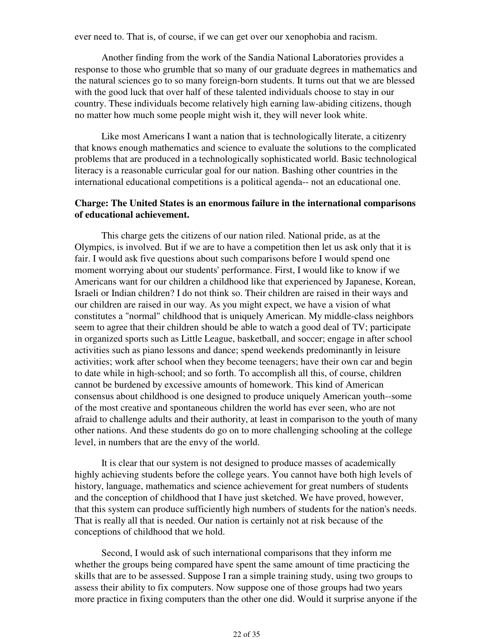ever need to. That is, of course, if we can get over our xenophobia and racism.

 Another finding from the work of the Sandia National Laboratories provides a response to those who grumble that so many of our graduate degrees in mathematics and the natural sciences go to so many foreign-born students. It turns out that we are blessed with the good luck that over half of these talented individuals choose to stay in our country. These individuals become relatively high earning law-abiding citizens, though no matter how much some people might wish it, they will never look white.

 Like most Americans I want a nation that is technologically literate, a citizenry that knows enough mathematics and science to evaluate the solutions to the complicated problems that are produced in a technologically sophisticated world. Basic technological literacy is a reasonable curricular goal for our nation. Bashing other countries in the international educational competitions is a political agenda-- not an educational one.

### **Charge: The United States is an enormous failure in the international comparisons of educational achievement.**

 This charge gets the citizens of our nation riled. National pride, as at the Olympics, is involved. But if we are to have a competition then let us ask only that it is fair. I would ask five questions about such comparisons before I would spend one moment worrying about our students' performance. First, I would like to know if we Americans want for our children a childhood like that experienced by Japanese, Korean, Israeli or Indian children? I do not think so. Their children are raised in their ways and our children are raised in our way. As you might expect, we have a vision of what constitutes a "normal" childhood that is uniquely American. My middle-class neighbors seem to agree that their children should be able to watch a good deal of TV; participate in organized sports such as Little League, basketball, and soccer; engage in after school activities such as piano lessons and dance; spend weekends predominantly in leisure activities; work after school when they become teenagers; have their own car and begin to date while in high-school; and so forth. To accomplish all this, of course, children cannot be burdened by excessive amounts of homework. This kind of American consensus about childhood is one designed to produce uniquely American youth--some of the most creative and spontaneous children the world has ever seen, who are not afraid to challenge adults and their authority, at least in comparison to the youth of many other nations. And these students do go on to more challenging schooling at the college level, in numbers that are the envy of the world.

 It is clear that our system is not designed to produce masses of academically highly achieving students before the college years. You cannot have both high levels of history, language, mathematics and science achievement for great numbers of students and the conception of childhood that I have just sketched. We have proved, however, that this system can produce sufficiently high numbers of students for the nation's needs. That is really all that is needed. Our nation is certainly not at risk because of the conceptions of childhood that we hold.

 Second, I would ask of such international comparisons that they inform me whether the groups being compared have spent the same amount of time practicing the skills that are to be assessed. Suppose I ran a simple training study, using two groups to assess their ability to fix computers. Now suppose one of those groups had two years more practice in fixing computers than the other one did. Would it surprise anyone if the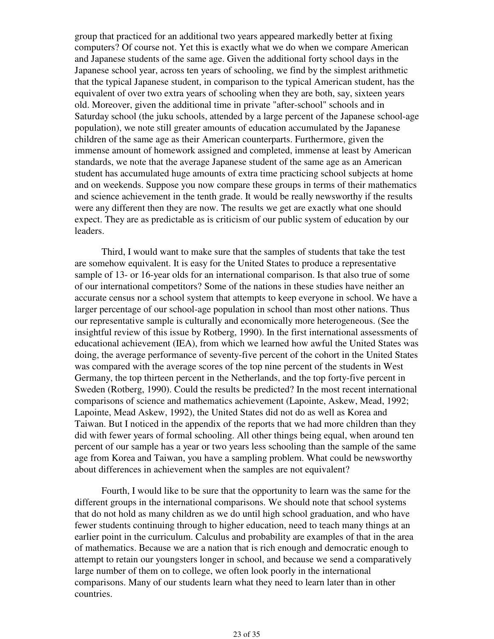group that practiced for an additional two years appeared markedly better at fixing computers? Of course not. Yet this is exactly what we do when we compare American and Japanese students of the same age. Given the additional forty school days in the Japanese school year, across ten years of schooling, we find by the simplest arithmetic that the typical Japanese student, in comparison to the typical American student, has the equivalent of over two extra years of schooling when they are both, say, sixteen years old. Moreover, given the additional time in private "after-school" schools and in Saturday school (the juku schools, attended by a large percent of the Japanese school-age population), we note still greater amounts of education accumulated by the Japanese children of the same age as their American counterparts. Furthermore, given the immense amount of homework assigned and completed, immense at least by American standards, we note that the average Japanese student of the same age as an American student has accumulated huge amounts of extra time practicing school subjects at home and on weekends. Suppose you now compare these groups in terms of their mathematics and science achievement in the tenth grade. It would be really newsworthy if the results were any different then they are now. The results we get are exactly what one should expect. They are as predictable as is criticism of our public system of education by our leaders.

 Third, I would want to make sure that the samples of students that take the test are somehow equivalent. It is easy for the United States to produce a representative sample of 13- or 16-year olds for an international comparison. Is that also true of some of our international competitors? Some of the nations in these studies have neither an accurate census nor a school system that attempts to keep everyone in school. We have a larger percentage of our school-age population in school than most other nations. Thus our representative sample is culturally and economically more heterogeneous. (See the insightful review of this issue by Rotberg, 1990). In the first international assessments of educational achievement (IEA), from which we learned how awful the United States was doing, the average performance of seventy-five percent of the cohort in the United States was compared with the average scores of the top nine percent of the students in West Germany, the top thirteen percent in the Netherlands, and the top forty-five percent in Sweden (Rotberg, 1990). Could the results be predicted? In the most recent international comparisons of science and mathematics achievement (Lapointe, Askew, Mead, 1992; Lapointe, Mead Askew, 1992), the United States did not do as well as Korea and Taiwan. But I noticed in the appendix of the reports that we had more children than they did with fewer years of formal schooling. All other things being equal, when around ten percent of our sample has a year or two years less schooling than the sample of the same age from Korea and Taiwan, you have a sampling problem. What could be newsworthy about differences in achievement when the samples are not equivalent?

 Fourth, I would like to be sure that the opportunity to learn was the same for the different groups in the international comparisons. We should note that school systems that do not hold as many children as we do until high school graduation, and who have fewer students continuing through to higher education, need to teach many things at an earlier point in the curriculum. Calculus and probability are examples of that in the area of mathematics. Because we are a nation that is rich enough and democratic enough to attempt to retain our youngsters longer in school, and because we send a comparatively large number of them on to college, we often look poorly in the international comparisons. Many of our students learn what they need to learn later than in other countries.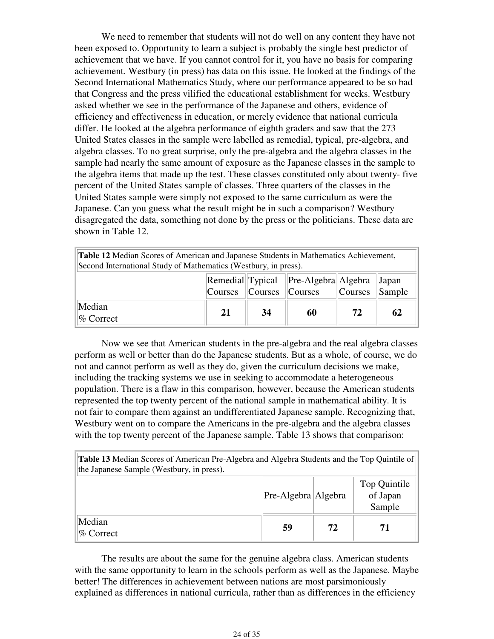We need to remember that students will not do well on any content they have not been exposed to. Opportunity to learn a subject is probably the single best predictor of achievement that we have. If you cannot control for it, you have no basis for comparing achievement. Westbury (in press) has data on this issue. He looked at the findings of the Second International Mathematics Study, where our performance appeared to be so bad that Congress and the press vilified the educational establishment for weeks. Westbury asked whether we see in the performance of the Japanese and others, evidence of efficiency and effectiveness in education, or merely evidence that national curricula differ. He looked at the algebra performance of eighth graders and saw that the 273 United States classes in the sample were labelled as remedial, typical, pre-algebra, and algebra classes. To no great surprise, only the pre-algebra and the algebra classes in the sample had nearly the same amount of exposure as the Japanese classes in the sample to the algebra items that made up the test. These classes constituted only about twenty- five percent of the United States sample of classes. Three quarters of the classes in the United States sample were simply not exposed to the same curriculum as were the Japanese. Can you guess what the result might be in such a comparison? Westbury disagregated the data, something not done by the press or the politicians. These data are shown in Table 12.

**Table 12** Median Scores of American and Japanese Students in Mathematics Achievement, Second International Study of Mathematics (Westbury, in press).

|                       | Courses | Courses Courses | Remedial Typical Pre-Algebra Algebra Japan | Courses | $\vert$ Sample |
|-----------------------|---------|-----------------|--------------------------------------------|---------|----------------|
| Median<br>$%$ Correct | 21      | 34              | 60                                         | 72      | 62             |

 Now we see that American students in the pre-algebra and the real algebra classes perform as well or better than do the Japanese students. But as a whole, of course, we do not and cannot perform as well as they do, given the curriculum decisions we make, including the tracking systems we use in seeking to accommodate a heterogeneous population. There is a flaw in this comparison, however, because the American students represented the top twenty percent of the national sample in mathematical ability. It is not fair to compare them against an undifferentiated Japanese sample. Recognizing that, Westbury went on to compare the Americans in the pre-algebra and the algebra classes with the top twenty percent of the Japanese sample. Table 13 shows that comparison:

| <b>Table 13</b> Median Scores of American Pre-Algebra and Algebra Students and the Top Quintile of<br>the Japanese Sample (Westbury, in press). |                     |    |                                    |  |
|-------------------------------------------------------------------------------------------------------------------------------------------------|---------------------|----|------------------------------------|--|
|                                                                                                                                                 | Pre-Algebra Algebra |    | Top Quintile<br>of Japan<br>Sample |  |
| Median<br>% Correct                                                                                                                             | 59                  | 72 | 71                                 |  |

 The results are about the same for the genuine algebra class. American students with the same opportunity to learn in the schools perform as well as the Japanese. Maybe better! The differences in achievement between nations are most parsimoniously explained as differences in national curricula, rather than as differences in the efficiency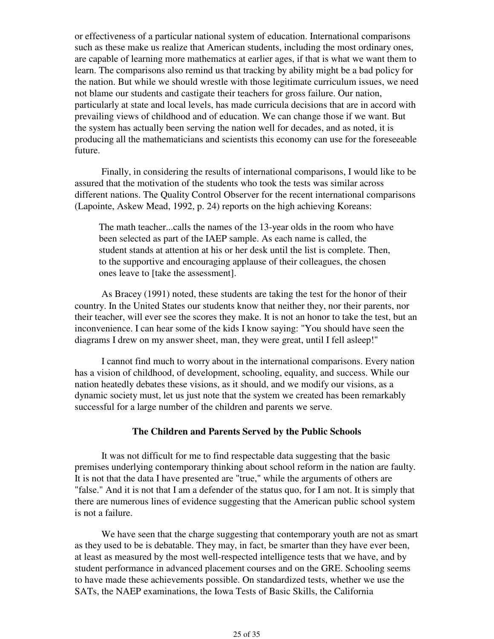or effectiveness of a particular national system of education. International comparisons such as these make us realize that American students, including the most ordinary ones, are capable of learning more mathematics at earlier ages, if that is what we want them to learn. The comparisons also remind us that tracking by ability might be a bad policy for the nation. But while we should wrestle with those legitimate curriculum issues, we need not blame our students and castigate their teachers for gross failure. Our nation, particularly at state and local levels, has made curricula decisions that are in accord with prevailing views of childhood and of education. We can change those if we want. But the system has actually been serving the nation well for decades, and as noted, it is producing all the mathematicians and scientists this economy can use for the foreseeable future.

 Finally, in considering the results of international comparisons, I would like to be assured that the motivation of the students who took the tests was similar across different nations. The Quality Control Observer for the recent international comparisons (Lapointe, Askew Mead, 1992, p. 24) reports on the high achieving Koreans:

The math teacher...calls the names of the 13-year olds in the room who have been selected as part of the IAEP sample. As each name is called, the student stands at attention at his or her desk until the list is complete. Then, to the supportive and encouraging applause of their colleagues, the chosen ones leave to [take the assessment].

 As Bracey (1991) noted, these students are taking the test for the honor of their country. In the United States our students know that neither they, nor their parents, nor their teacher, will ever see the scores they make. It is not an honor to take the test, but an inconvenience. I can hear some of the kids I know saying: "You should have seen the diagrams I drew on my answer sheet, man, they were great, until I fell asleep!"

 I cannot find much to worry about in the international comparisons. Every nation has a vision of childhood, of development, schooling, equality, and success. While our nation heatedly debates these visions, as it should, and we modify our visions, as a dynamic society must, let us just note that the system we created has been remarkably successful for a large number of the children and parents we serve.

### **The Children and Parents Served by the Public Schools**

 It was not difficult for me to find respectable data suggesting that the basic premises underlying contemporary thinking about school reform in the nation are faulty. It is not that the data I have presented are "true," while the arguments of others are "false." And it is not that I am a defender of the status quo, for I am not. It is simply that there are numerous lines of evidence suggesting that the American public school system is not a failure.

We have seen that the charge suggesting that contemporary youth are not as smart as they used to be is debatable. They may, in fact, be smarter than they have ever been, at least as measured by the most well-respected intelligence tests that we have, and by student performance in advanced placement courses and on the GRE. Schooling seems to have made these achievements possible. On standardized tests, whether we use the SATs, the NAEP examinations, the Iowa Tests of Basic Skills, the California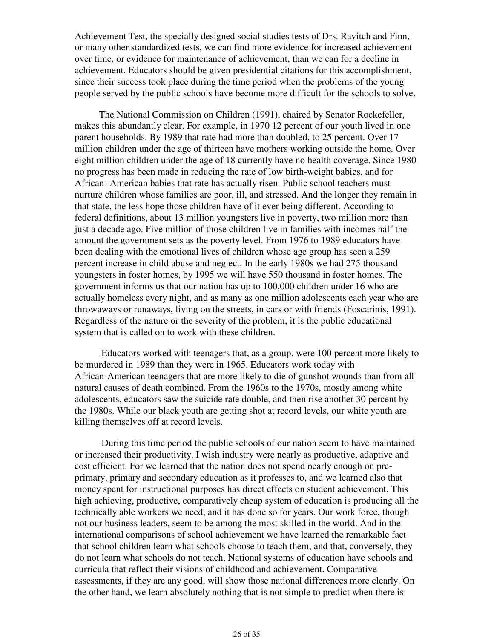Achievement Test, the specially designed social studies tests of Drs. Ravitch and Finn, or many other standardized tests, we can find more evidence for increased achievement over time, or evidence for maintenance of achievement, than we can for a decline in achievement. Educators should be given presidential citations for this accomplishment, since their success took place during the time period when the problems of the young people served by the public schools have become more difficult for the schools to solve.

The National Commission on Children (1991), chaired by Senator Rockefeller, makes this abundantly clear. For example, in 1970 12 percent of our youth lived in one parent households. By 1989 that rate had more than doubled, to 25 percent. Over 17 million children under the age of thirteen have mothers working outside the home. Over eight million children under the age of 18 currently have no health coverage. Since 1980 no progress has been made in reducing the rate of low birth-weight babies, and for African- American babies that rate has actually risen. Public school teachers must nurture children whose families are poor, ill, and stressed. And the longer they remain in that state, the less hope those children have of it ever being different. According to federal definitions, about 13 million youngsters live in poverty, two million more than just a decade ago. Five million of those children live in families with incomes half the amount the government sets as the poverty level. From 1976 to 1989 educators have been dealing with the emotional lives of children whose age group has seen a 259 percent increase in child abuse and neglect. In the early 1980s we had 275 thousand youngsters in foster homes, by 1995 we will have 550 thousand in foster homes. The government informs us that our nation has up to 100,000 children under 16 who are actually homeless every night, and as many as one million adolescents each year who are throwaways or runaways, living on the streets, in cars or with friends (Foscarinis, 1991). Regardless of the nature or the severity of the problem, it is the public educational system that is called on to work with these children.

 Educators worked with teenagers that, as a group, were 100 percent more likely to be murdered in 1989 than they were in 1965. Educators work today with African-American teenagers that are more likely to die of gunshot wounds than from all natural causes of death combined. From the 1960s to the 1970s, mostly among white adolescents, educators saw the suicide rate double, and then rise another 30 percent by the 1980s. While our black youth are getting shot at record levels, our white youth are killing themselves off at record levels.

 During this time period the public schools of our nation seem to have maintained or increased their productivity. I wish industry were nearly as productive, adaptive and cost efficient. For we learned that the nation does not spend nearly enough on preprimary, primary and secondary education as it professes to, and we learned also that money spent for instructional purposes has direct effects on student achievement. This high achieving, productive, comparatively cheap system of education is producing all the technically able workers we need, and it has done so for years. Our work force, though not our business leaders, seem to be among the most skilled in the world. And in the international comparisons of school achievement we have learned the remarkable fact that school children learn what schools choose to teach them, and that, conversely, they do not learn what schools do not teach. National systems of education have schools and curricula that reflect their visions of childhood and achievement. Comparative assessments, if they are any good, will show those national differences more clearly. On the other hand, we learn absolutely nothing that is not simple to predict when there is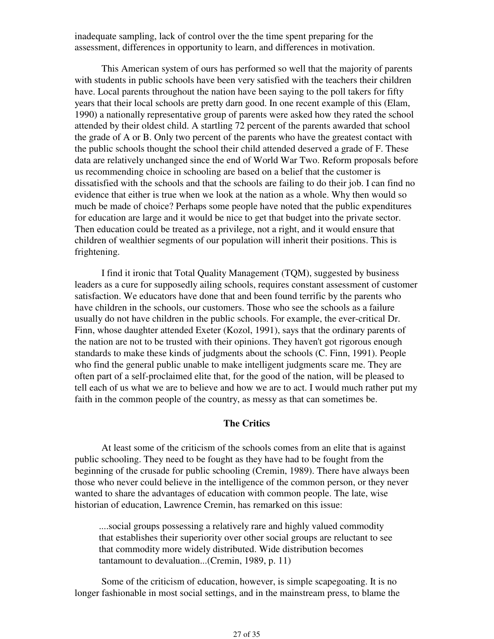inadequate sampling, lack of control over the the time spent preparing for the assessment, differences in opportunity to learn, and differences in motivation.

 This American system of ours has performed so well that the majority of parents with students in public schools have been very satisfied with the teachers their children have. Local parents throughout the nation have been saying to the poll takers for fifty years that their local schools are pretty darn good. In one recent example of this (Elam, 1990) a nationally representative group of parents were asked how they rated the school attended by their oldest child. A startling 72 percent of the parents awarded that school the grade of A or B. Only two percent of the parents who have the greatest contact with the public schools thought the school their child attended deserved a grade of F. These data are relatively unchanged since the end of World War Two. Reform proposals before us recommending choice in schooling are based on a belief that the customer is dissatisfied with the schools and that the schools are failing to do their job. I can find no evidence that either is true when we look at the nation as a whole. Why then would so much be made of choice? Perhaps some people have noted that the public expenditures for education are large and it would be nice to get that budget into the private sector. Then education could be treated as a privilege, not a right, and it would ensure that children of wealthier segments of our population will inherit their positions. This is frightening.

 I find it ironic that Total Quality Management (TQM), suggested by business leaders as a cure for supposedly ailing schools, requires constant assessment of customer satisfaction. We educators have done that and been found terrific by the parents who have children in the schools, our customers. Those who see the schools as a failure usually do not have children in the public schools. For example, the ever-critical Dr. Finn, whose daughter attended Exeter (Kozol, 1991), says that the ordinary parents of the nation are not to be trusted with their opinions. They haven't got rigorous enough standards to make these kinds of judgments about the schools (C. Finn, 1991). People who find the general public unable to make intelligent judgments scare me. They are often part of a self-proclaimed elite that, for the good of the nation, will be pleased to tell each of us what we are to believe and how we are to act. I would much rather put my faith in the common people of the country, as messy as that can sometimes be.

### **The Critics**

 At least some of the criticism of the schools comes from an elite that is against public schooling. They need to be fought as they have had to be fought from the beginning of the crusade for public schooling (Cremin, 1989). There have always been those who never could believe in the intelligence of the common person, or they never wanted to share the advantages of education with common people. The late, wise historian of education, Lawrence Cremin, has remarked on this issue:

....social groups possessing a relatively rare and highly valued commodity that establishes their superiority over other social groups are reluctant to see that commodity more widely distributed. Wide distribution becomes tantamount to devaluation...(Cremin, 1989, p. 11)

 Some of the criticism of education, however, is simple scapegoating. It is no longer fashionable in most social settings, and in the mainstream press, to blame the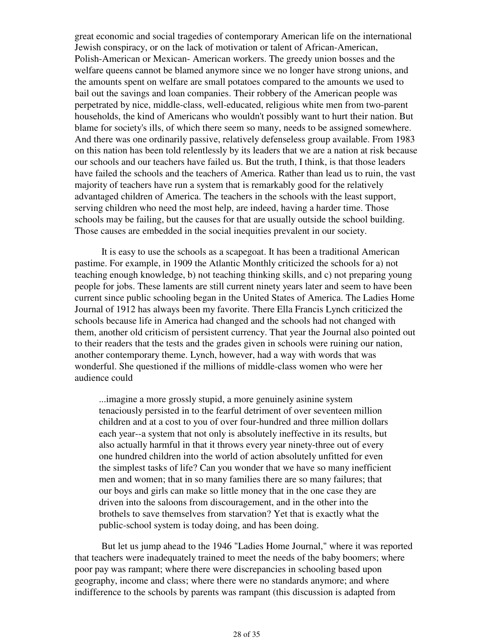great economic and social tragedies of contemporary American life on the international Jewish conspiracy, or on the lack of motivation or talent of African-American, Polish-American or Mexican- American workers. The greedy union bosses and the welfare queens cannot be blamed anymore since we no longer have strong unions, and the amounts spent on welfare are small potatoes compared to the amounts we used to bail out the savings and loan companies. Their robbery of the American people was perpetrated by nice, middle-class, well-educated, religious white men from two-parent households, the kind of Americans who wouldn't possibly want to hurt their nation. But blame for society's ills, of which there seem so many, needs to be assigned somewhere. And there was one ordinarily passive, relatively defenseless group available. From 1983 on this nation has been told relentlessly by its leaders that we are a nation at risk because our schools and our teachers have failed us. But the truth, I think, is that those leaders have failed the schools and the teachers of America. Rather than lead us to ruin, the vast majority of teachers have run a system that is remarkably good for the relatively advantaged children of America. The teachers in the schools with the least support, serving children who need the most help, are indeed, having a harder time. Those schools may be failing, but the causes for that are usually outside the school building. Those causes are embedded in the social inequities prevalent in our society.

 It is easy to use the schools as a scapegoat. It has been a traditional American pastime. For example, in 1909 the Atlantic Monthly criticized the schools for a) not teaching enough knowledge, b) not teaching thinking skills, and c) not preparing young people for jobs. These laments are still current ninety years later and seem to have been current since public schooling began in the United States of America. The Ladies Home Journal of 1912 has always been my favorite. There Ella Francis Lynch criticized the schools because life in America had changed and the schools had not changed with them, another old criticism of persistent currency. That year the Journal also pointed out to their readers that the tests and the grades given in schools were ruining our nation, another contemporary theme. Lynch, however, had a way with words that was wonderful. She questioned if the millions of middle-class women who were her audience could

...imagine a more grossly stupid, a more genuinely asinine system tenaciously persisted in to the fearful detriment of over seventeen million children and at a cost to you of over four-hundred and three million dollars each year--a system that not only is absolutely ineffective in its results, but also actually harmful in that it throws every year ninety-three out of every one hundred children into the world of action absolutely unfitted for even the simplest tasks of life? Can you wonder that we have so many inefficient men and women; that in so many families there are so many failures; that our boys and girls can make so little money that in the one case they are driven into the saloons from discouragement, and in the other into the brothels to save themselves from starvation? Yet that is exactly what the public-school system is today doing, and has been doing.

 But let us jump ahead to the 1946 "Ladies Home Journal," where it was reported that teachers were inadequately trained to meet the needs of the baby boomers; where poor pay was rampant; where there were discrepancies in schooling based upon geography, income and class; where there were no standards anymore; and where indifference to the schools by parents was rampant (this discussion is adapted from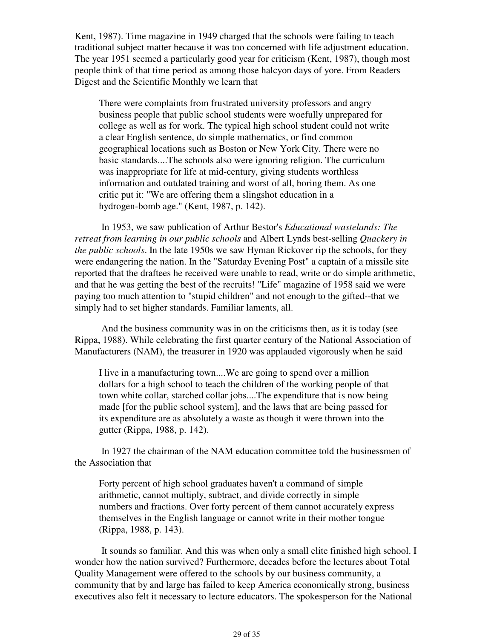Kent, 1987). Time magazine in 1949 charged that the schools were failing to teach traditional subject matter because it was too concerned with life adjustment education. The year 1951 seemed a particularly good year for criticism (Kent, 1987), though most people think of that time period as among those halcyon days of yore. From Readers Digest and the Scientific Monthly we learn that

There were complaints from frustrated university professors and angry business people that public school students were woefully unprepared for college as well as for work. The typical high school student could not write a clear English sentence, do simple mathematics, or find common geographical locations such as Boston or New York City. There were no basic standards....The schools also were ignoring religion. The curriculum was inappropriate for life at mid-century, giving students worthless information and outdated training and worst of all, boring them. As one critic put it: "We are offering them a slingshot education in a hydrogen-bomb age." (Kent, 1987, p. 142).

 In 1953, we saw publication of Arthur Bestor's *Educational wastelands: The retreat from learning in our public schools* and Albert Lynds best-selling *Quackery in the public schools*. In the late 1950s we saw Hyman Rickover rip the schools, for they were endangering the nation. In the "Saturday Evening Post" a captain of a missile site reported that the draftees he received were unable to read, write or do simple arithmetic, and that he was getting the best of the recruits! "Life" magazine of 1958 said we were paying too much attention to "stupid children" and not enough to the gifted--that we simply had to set higher standards. Familiar laments, all.

 And the business community was in on the criticisms then, as it is today (see Rippa, 1988). While celebrating the first quarter century of the National Association of Manufacturers (NAM), the treasurer in 1920 was applauded vigorously when he said

I live in a manufacturing town....We are going to spend over a million dollars for a high school to teach the children of the working people of that town white collar, starched collar jobs....The expenditure that is now being made [for the public school system], and the laws that are being passed for its expenditure are as absolutely a waste as though it were thrown into the gutter (Rippa, 1988, p. 142).

 In 1927 the chairman of the NAM education committee told the businessmen of the Association that

Forty percent of high school graduates haven't a command of simple arithmetic, cannot multiply, subtract, and divide correctly in simple numbers and fractions. Over forty percent of them cannot accurately express themselves in the English language or cannot write in their mother tongue (Rippa, 1988, p. 143).

 It sounds so familiar. And this was when only a small elite finished high school. I wonder how the nation survived? Furthermore, decades before the lectures about Total Quality Management were offered to the schools by our business community, a community that by and large has failed to keep America economically strong, business executives also felt it necessary to lecture educators. The spokesperson for the National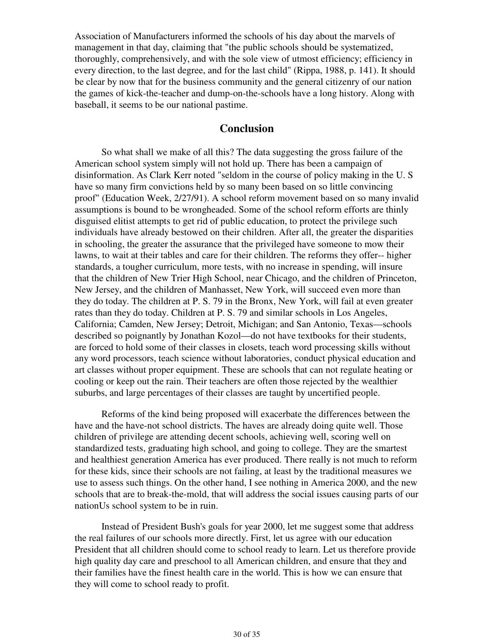Association of Manufacturers informed the schools of his day about the marvels of management in that day, claiming that "the public schools should be systematized, thoroughly, comprehensively, and with the sole view of utmost efficiency; efficiency in every direction, to the last degree, and for the last child" (Rippa, 1988, p. 141). It should be clear by now that for the business community and the general citizenry of our nation the games of kick-the-teacher and dump-on-the-schools have a long history. Along with baseball, it seems to be our national pastime.

### **Conclusion**

 So what shall we make of all this? The data suggesting the gross failure of the American school system simply will not hold up. There has been a campaign of disinformation. As Clark Kerr noted "seldom in the course of policy making in the U. S have so many firm convictions held by so many been based on so little convincing proof" (Education Week, 2/27/91). A school reform movement based on so many invalid assumptions is bound to be wrongheaded. Some of the school reform efforts are thinly disguised elitist attempts to get rid of public education, to protect the privilege such individuals have already bestowed on their children. After all, the greater the disparities in schooling, the greater the assurance that the privileged have someone to mow their lawns, to wait at their tables and care for their children. The reforms they offer-- higher standards, a tougher curriculum, more tests, with no increase in spending, will insure that the children of New Trier High School, near Chicago, and the children of Princeton, New Jersey, and the children of Manhasset, New York, will succeed even more than they do today. The children at P. S. 79 in the Bronx, New York, will fail at even greater rates than they do today. Children at P. S. 79 and similar schools in Los Angeles, California; Camden, New Jersey; Detroit, Michigan; and San Antonio, Texas—schools described so poignantly by Jonathan Kozol—do not have textbooks for their students, are forced to hold some of their classes in closets, teach word processing skills without any word processors, teach science without laboratories, conduct physical education and art classes without proper equipment. These are schools that can not regulate heating or cooling or keep out the rain. Their teachers are often those rejected by the wealthier suburbs, and large percentages of their classes are taught by uncertified people.

 Reforms of the kind being proposed will exacerbate the differences between the have and the have-not school districts. The haves are already doing quite well. Those children of privilege are attending decent schools, achieving well, scoring well on standardized tests, graduating high school, and going to college. They are the smartest and healthiest generation America has ever produced. There really is not much to reform for these kids, since their schools are not failing, at least by the traditional measures we use to assess such things. On the other hand, I see nothing in America 2000, and the new schools that are to break-the-mold, that will address the social issues causing parts of our nationUs school system to be in ruin.

 Instead of President Bush's goals for year 2000, let me suggest some that address the real failures of our schools more directly. First, let us agree with our education President that all children should come to school ready to learn. Let us therefore provide high quality day care and preschool to all American children, and ensure that they and their families have the finest health care in the world. This is how we can ensure that they will come to school ready to profit.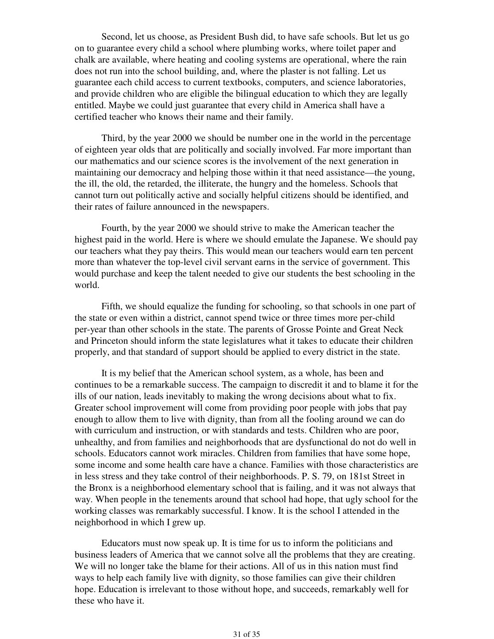Second, let us choose, as President Bush did, to have safe schools. But let us go on to guarantee every child a school where plumbing works, where toilet paper and chalk are available, where heating and cooling systems are operational, where the rain does not run into the school building, and, where the plaster is not falling. Let us guarantee each child access to current textbooks, computers, and science laboratories, and provide children who are eligible the bilingual education to which they are legally entitled. Maybe we could just guarantee that every child in America shall have a certified teacher who knows their name and their family.

 Third, by the year 2000 we should be number one in the world in the percentage of eighteen year olds that are politically and socially involved. Far more important than our mathematics and our science scores is the involvement of the next generation in maintaining our democracy and helping those within it that need assistance—the young, the ill, the old, the retarded, the illiterate, the hungry and the homeless. Schools that cannot turn out politically active and socially helpful citizens should be identified, and their rates of failure announced in the newspapers.

 Fourth, by the year 2000 we should strive to make the American teacher the highest paid in the world. Here is where we should emulate the Japanese. We should pay our teachers what they pay theirs. This would mean our teachers would earn ten percent more than whatever the top-level civil servant earns in the service of government. This would purchase and keep the talent needed to give our students the best schooling in the world.

 Fifth, we should equalize the funding for schooling, so that schools in one part of the state or even within a district, cannot spend twice or three times more per-child per-year than other schools in the state. The parents of Grosse Pointe and Great Neck and Princeton should inform the state legislatures what it takes to educate their children properly, and that standard of support should be applied to every district in the state.

 It is my belief that the American school system, as a whole, has been and continues to be a remarkable success. The campaign to discredit it and to blame it for the ills of our nation, leads inevitably to making the wrong decisions about what to fix. Greater school improvement will come from providing poor people with jobs that pay enough to allow them to live with dignity, than from all the fooling around we can do with curriculum and instruction, or with standards and tests. Children who are poor, unhealthy, and from families and neighborhoods that are dysfunctional do not do well in schools. Educators cannot work miracles. Children from families that have some hope, some income and some health care have a chance. Families with those characteristics are in less stress and they take control of their neighborhoods. P. S. 79, on 181st Street in the Bronx is a neighborhood elementary school that is failing, and it was not always that way. When people in the tenements around that school had hope, that ugly school for the working classes was remarkably successful. I know. It is the school I attended in the neighborhood in which I grew up.

 Educators must now speak up. It is time for us to inform the politicians and business leaders of America that we cannot solve all the problems that they are creating. We will no longer take the blame for their actions. All of us in this nation must find ways to help each family live with dignity, so those families can give their children hope. Education is irrelevant to those without hope, and succeeds, remarkably well for these who have it.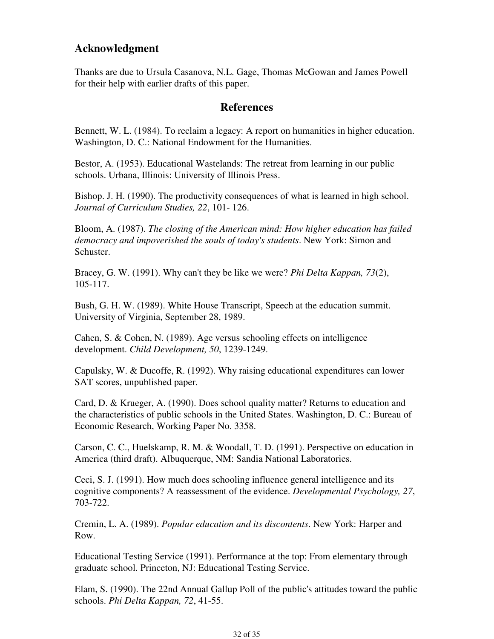# **Acknowledgment**

Thanks are due to Ursula Casanova, N.L. Gage, Thomas McGowan and James Powell for their help with earlier drafts of this paper.

## **References**

Bennett, W. L. (1984). To reclaim a legacy: A report on humanities in higher education. Washington, D. C.: National Endowment for the Humanities.

Bestor, A. (1953). Educational Wastelands: The retreat from learning in our public schools. Urbana, Illinois: University of Illinois Press.

Bishop. J. H. (1990). The productivity consequences of what is learned in high school. *Journal of Curriculum Studies, 22*, 101- 126.

Bloom, A. (1987). *The closing of the American mind: How higher education has failed democracy and impoverished the souls of today's students*. New York: Simon and Schuster.

Bracey, G. W. (1991). Why can't they be like we were? *Phi Delta Kappan, 73*(2), 105-117.

Bush, G. H. W. (1989). White House Transcript, Speech at the education summit. University of Virginia, September 28, 1989.

Cahen, S. & Cohen, N. (1989). Age versus schooling effects on intelligence development. *Child Development, 50*, 1239-1249.

Capulsky, W. & Ducoffe, R. (1992). Why raising educational expenditures can lower SAT scores, unpublished paper.

Card, D. & Krueger, A. (1990). Does school quality matter? Returns to education and the characteristics of public schools in the United States. Washington, D. C.: Bureau of Economic Research, Working Paper No. 3358.

Carson, C. C., Huelskamp, R. M. & Woodall, T. D. (1991). Perspective on education in America (third draft). Albuquerque, NM: Sandia National Laboratories.

Ceci, S. J. (1991). How much does schooling influence general intelligence and its cognitive components? A reassessment of the evidence. *Developmental Psychology, 27*, 703-722.

Cremin, L. A. (1989). *Popular education and its discontents*. New York: Harper and Row.

Educational Testing Service (1991). Performance at the top: From elementary through graduate school. Princeton, NJ: Educational Testing Service.

Elam, S. (1990). The 22nd Annual Gallup Poll of the public's attitudes toward the public schools. *Phi Delta Kappan, 72*, 41-55.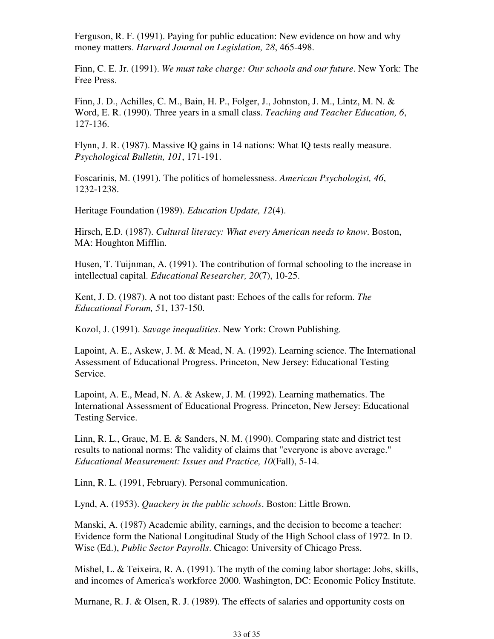Ferguson, R. F. (1991). Paying for public education: New evidence on how and why money matters. *Harvard Journal on Legislation, 28*, 465-498.

Finn, C. E. Jr. (1991). *We must take charge: Our schools and our future*. New York: The Free Press.

Finn, J. D., Achilles, C. M., Bain, H. P., Folger, J., Johnston, J. M., Lintz, M. N. & Word, E. R. (1990). Three years in a small class. *Teaching and Teacher Education, 6*, 127-136.

Flynn, J. R. (1987). Massive IQ gains in 14 nations: What IQ tests really measure. *Psychological Bulletin, 101*, 171-191.

Foscarinis, M. (1991). The politics of homelessness. *American Psychologist, 46*, 1232-1238.

Heritage Foundation (1989). *Education Update, 12*(4).

Hirsch, E.D. (1987). *Cultural literacy: What every American needs to know*. Boston, MA: Houghton Mifflin.

Husen, T. Tuijnman, A. (1991). The contribution of formal schooling to the increase in intellectual capital. *Educational Researcher, 20*(7), 10-25.

Kent, J. D. (1987). A not too distant past: Echoes of the calls for reform. *The Educational Forum, 5*1, 137-150.

Kozol, J. (1991). *Savage inequalities*. New York: Crown Publishing.

Lapoint, A. E., Askew, J. M. & Mead, N. A. (1992). Learning science. The International Assessment of Educational Progress. Princeton, New Jersey: Educational Testing Service.

Lapoint, A. E., Mead, N. A. & Askew, J. M. (1992). Learning mathematics. The International Assessment of Educational Progress. Princeton, New Jersey: Educational Testing Service.

Linn, R. L., Graue, M. E. & Sanders, N. M. (1990). Comparing state and district test results to national norms: The validity of claims that "everyone is above average." *Educational Measurement: Issues and Practice, 10*(Fall), 5-14.

Linn, R. L. (1991, February). Personal communication.

Lynd, A. (1953). *Quackery in the public schools*. Boston: Little Brown.

Manski, A. (1987) Academic ability, earnings, and the decision to become a teacher: Evidence form the National Longitudinal Study of the High School class of 1972. In D. Wise (Ed.), *Public Sector Payrolls*. Chicago: University of Chicago Press.

Mishel, L. & Teixeira, R. A. (1991). The myth of the coming labor shortage: Jobs, skills, and incomes of America's workforce 2000. Washington, DC: Economic Policy Institute.

Murnane, R. J. & Olsen, R. J. (1989). The effects of salaries and opportunity costs on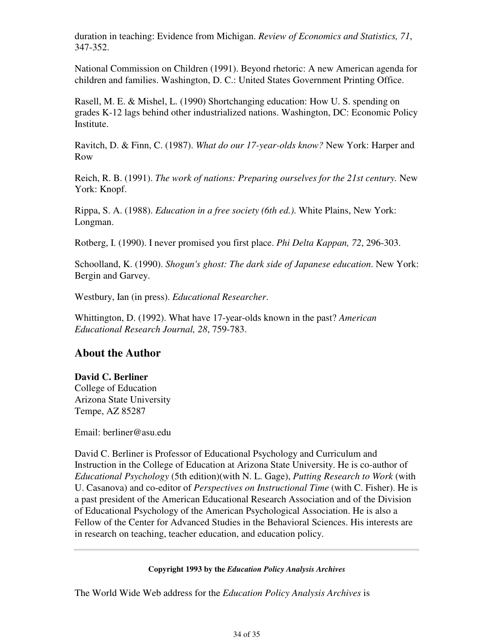duration in teaching: Evidence from Michigan. *Review of Economics and Statistics, 71*, 347-352.

National Commission on Children (1991). Beyond rhetoric: A new American agenda for children and families. Washington, D. C.: United States Government Printing Office.

Rasell, M. E. & Mishel, L. (1990) Shortchanging education: How U. S. spending on grades K-12 lags behind other industrialized nations. Washington, DC: Economic Policy Institute.

Ravitch, D. & Finn, C. (1987). *What do our 17-year-olds know?* New York: Harper and Row

Reich, R. B. (1991). *The work of nations: Preparing ourselves for the 21st century.* New York: Knopf.

Rippa, S. A. (1988). *Education in a free society (6th ed.)*. White Plains, New York: Longman.

Rotberg, I. (1990). I never promised you first place. *Phi Delta Kappan, 72*, 296-303.

Schoolland, K. (1990). *Shogun's ghost: The dark side of Japanese education*. New York: Bergin and Garvey.

Westbury, Ian (in press). *Educational Researcher*.

Whittington, D. (1992). What have 17-year-olds known in the past? *American Educational Research Journal, 28*, 759-783.

## **About the Author**

### **David C. Berliner**

College of Education Arizona State University Tempe, AZ 85287

Email: berliner@asu.edu

David C. Berliner is Professor of Educational Psychology and Curriculum and Instruction in the College of Education at Arizona State University. He is co-author of *Educational Psychology* (5th edition)(with N. L. Gage), *Putting Research to Work* (with U. Casanova) and co-editor of *Perspectives on Instructional Time* (with C. Fisher). He is a past president of the American Educational Research Association and of the Division of Educational Psychology of the American Psychological Association. He is also a Fellow of the Center for Advanced Studies in the Behavioral Sciences. His interests are in research on teaching, teacher education, and education policy.

### **Copyright 1993 by the** *Education Policy Analysis Archives*

The World Wide Web address for the *Education Policy Analysis Archives* is